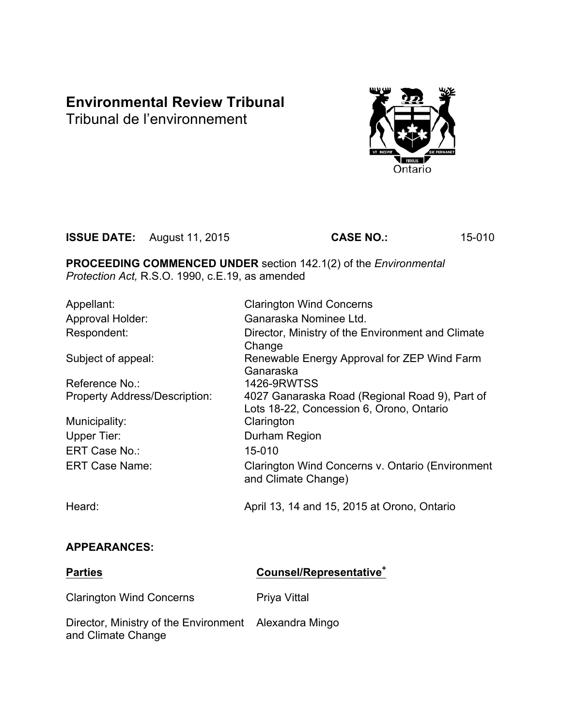# **Environmental Review Tribunal**

Tribunal de l'environnement



**ISSUE DATE:** August 11, 2015 **CASE NO.:** 15-010

**PROCEEDING COMMENCED UNDER** section 142.1(2) of the *Environmental Protection Act,* R.S.O. 1990, c.E.19, as amended

| Appellant:                           | <b>Clarington Wind Concerns</b>                                                            |
|--------------------------------------|--------------------------------------------------------------------------------------------|
| Approval Holder:                     | Ganaraska Nominee Ltd.                                                                     |
| Respondent:                          | Director, Ministry of the Environment and Climate<br>Change                                |
| Subject of appeal:                   | Renewable Energy Approval for ZEP Wind Farm<br>Ganaraska                                   |
| Reference No.:                       | <b>1426-9RWTSS</b>                                                                         |
| <b>Property Address/Description:</b> | 4027 Ganaraska Road (Regional Road 9), Part of<br>Lots 18-22, Concession 6, Orono, Ontario |
| Municipality:                        | Clarington                                                                                 |
| <b>Upper Tier:</b>                   | Durham Region                                                                              |
| ERT Case No.:                        | 15-010                                                                                     |
| <b>ERT Case Name:</b>                | Clarington Wind Concerns v. Ontario (Environment<br>and Climate Change)                    |
| Heard:                               | April 13, 14 and 15, 2015 at Orono, Ontario                                                |

# **APPEARANCES:**

| <b>Parties</b>                                                              | Counsel/Representative <sup>+</sup> |
|-----------------------------------------------------------------------------|-------------------------------------|
| <b>Clarington Wind Concerns</b>                                             | <b>Priya Vittal</b>                 |
| Director, Ministry of the Environment Alexandra Mingo<br>and Climate Change |                                     |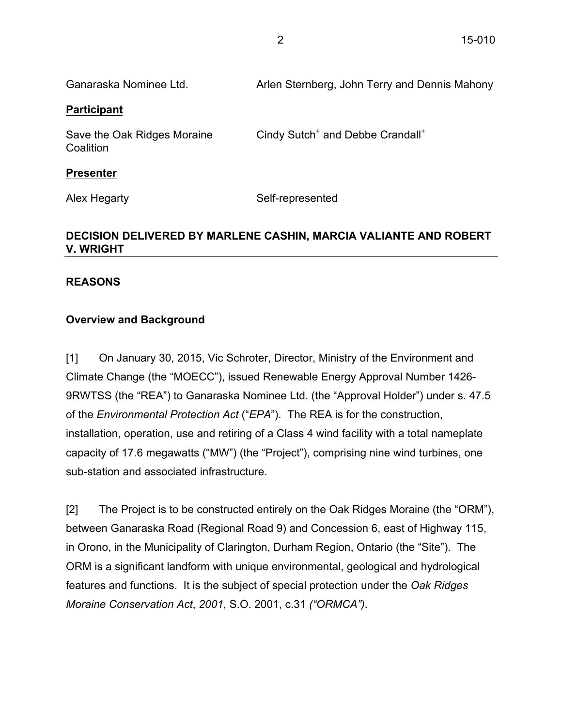| Ganaraska Nominee Ltd.                                            | Arlen Sternberg, John Terry and Dennis Mahony            |  |
|-------------------------------------------------------------------|----------------------------------------------------------|--|
| <b>Participant</b>                                                |                                                          |  |
| Save the Oak Ridges Moraine<br>Coalition                          | Cindy Sutch <sup>+</sup> and Debbe Crandall <sup>+</sup> |  |
| <b>Presenter</b>                                                  |                                                          |  |
| Alex Hegarty                                                      | Self-represented                                         |  |
| BECICION BELIVERED BY MARI ENE CACUIN, MARCIA VALIANTE AND BOREDT |                                                          |  |

# **DECISION DELIVERED BY MARLENE CASHIN, MARCIA VALIANTE AND ROBERT V. WRIGHT**

# **REASONS**

# **Overview and Background**

[1] On January 30, 2015, Vic Schroter, Director, Ministry of the Environment and Climate Change (the "MOECC"), issued Renewable Energy Approval Number 1426- 9RWTSS (the "REA") to Ganaraska Nominee Ltd. (the "Approval Holder") under s. 47.5 of the *Environmental Protection Act* ("*EPA*"). The REA is for the construction, installation, operation, use and retiring of a Class 4 wind facility with a total nameplate capacity of 17.6 megawatts ("MW") (the "Project"), comprising nine wind turbines, one sub-station and associated infrastructure.

[2] The Project is to be constructed entirely on the Oak Ridges Moraine (the "ORM"), between Ganaraska Road (Regional Road 9) and Concession 6, east of Highway 115, in Orono, in the Municipality of Clarington, Durham Region, Ontario (the "Site"). The ORM is a significant landform with unique environmental, geological and hydrological features and functions. It is the subject of special protection under the *Oak Ridges Moraine Conservation Act*, *2001*, S.O. 2001, c.31 *("ORMCA")*.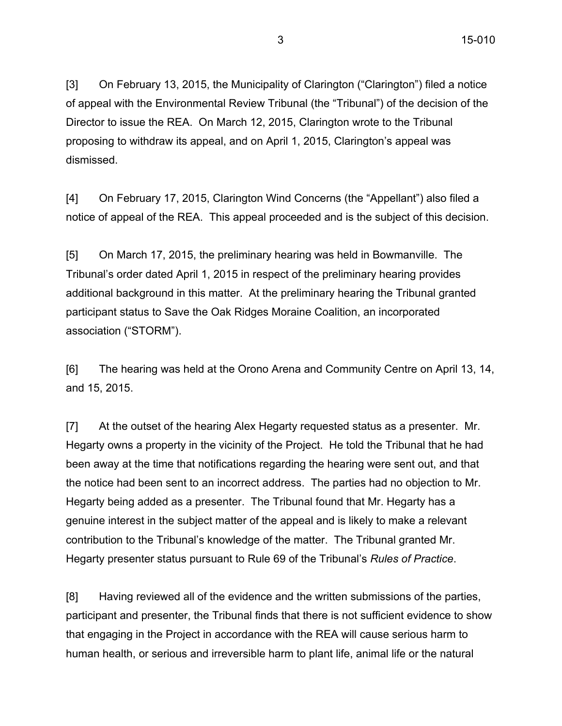[3] On February 13, 2015, the Municipality of Clarington ("Clarington") filed a notice of appeal with the Environmental Review Tribunal (the "Tribunal") of the decision of the Director to issue the REA. On March 12, 2015, Clarington wrote to the Tribunal proposing to withdraw its appeal, and on April 1, 2015, Clarington's appeal was dismissed.

[4] On February 17, 2015, Clarington Wind Concerns (the "Appellant") also filed a notice of appeal of the REA. This appeal proceeded and is the subject of this decision.

[5] On March 17, 2015, the preliminary hearing was held in Bowmanville. The Tribunal's order dated April 1, 2015 in respect of the preliminary hearing provides additional background in this matter. At the preliminary hearing the Tribunal granted participant status to Save the Oak Ridges Moraine Coalition, an incorporated association ("STORM").

[6] The hearing was held at the Orono Arena and Community Centre on April 13, 14, and 15, 2015.

[7] At the outset of the hearing Alex Hegarty requested status as a presenter. Mr. Hegarty owns a property in the vicinity of the Project. He told the Tribunal that he had been away at the time that notifications regarding the hearing were sent out, and that the notice had been sent to an incorrect address. The parties had no objection to Mr. Hegarty being added as a presenter. The Tribunal found that Mr. Hegarty has a genuine interest in the subject matter of the appeal and is likely to make a relevant contribution to the Tribunal's knowledge of the matter. The Tribunal granted Mr. Hegarty presenter status pursuant to Rule 69 of the Tribunal's *Rules of Practice*.

[8] Having reviewed all of the evidence and the written submissions of the parties, participant and presenter, the Tribunal finds that there is not sufficient evidence to show that engaging in the Project in accordance with the REA will cause serious harm to human health, or serious and irreversible harm to plant life, animal life or the natural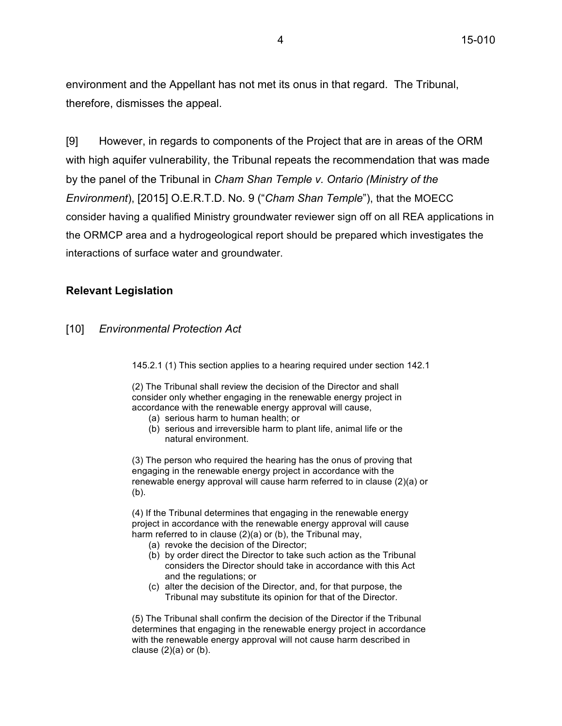environment and the Appellant has not met its onus in that regard. The Tribunal, therefore, dismisses the appeal.

[9] However, in regards to components of the Project that are in areas of the ORM with high aquifer vulnerability, the Tribunal repeats the recommendation that was made by the panel of the Tribunal in *Cham Shan Temple v. Ontario (Ministry of the Environment*), [2015] O.E.R.T.D. No. 9 ("*Cham Shan Temple*"), that the MOECC consider having a qualified Ministry groundwater reviewer sign off on all REA applications in the ORMCP area and a hydrogeological report should be prepared which investigates the interactions of surface water and groundwater.

#### **Relevant Legislation**

#### [10] *Environmental Protection Act*

145.2.1 (1) This section applies to a hearing required under section 142.1

(2) The Tribunal shall review the decision of the Director and shall consider only whether engaging in the renewable energy project in accordance with the renewable energy approval will cause,

- (a) serious harm to human health; or
- (b) serious and irreversible harm to plant life, animal life or the natural environment.

(3) The person who required the hearing has the onus of proving that engaging in the renewable energy project in accordance with the renewable energy approval will cause harm referred to in clause (2)(a) or (b).

(4) If the Tribunal determines that engaging in the renewable energy project in accordance with the renewable energy approval will cause harm referred to in clause (2)(a) or (b), the Tribunal may,

- (a) revoke the decision of the Director;
- (b) by order direct the Director to take such action as the Tribunal considers the Director should take in accordance with this Act and the regulations; or
- (c) alter the decision of the Director, and, for that purpose, the Tribunal may substitute its opinion for that of the Director.

(5) The Tribunal shall confirm the decision of the Director if the Tribunal determines that engaging in the renewable energy project in accordance with the renewable energy approval will not cause harm described in clause  $(2)(a)$  or  $(b)$ .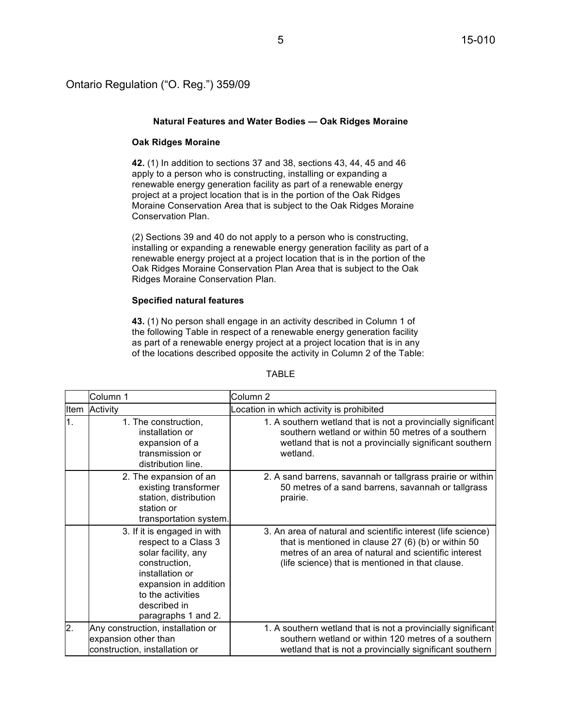#### Ontario Regulation ("O. Reg.") 359/09

#### **Natural Features and Water Bodies — Oak Ridges Moraine**

#### **Oak Ridges Moraine**

**42.** (1) In addition to sections 37 and 38, sections 43, 44, 45 and 46 apply to a person who is constructing, installing or expanding a renewable energy generation facility as part of a renewable energy project at a project location that is in the portion of the Oak Ridges Moraine Conservation Area that is subject to the Oak Ridges Moraine Conservation Plan.

(2) Sections 39 and 40 do not apply to a person who is constructing, installing or expanding a renewable energy generation facility as part of a renewable energy project at a project location that is in the portion of the Oak Ridges Moraine Conservation Plan Area that is subject to the Oak Ridges Moraine Conservation Plan.

#### **Specified natural features**

**43.** (1) No person shall engage in an activity described in Column 1 of the following Table in respect of a renewable energy generation facility as part of a renewable energy project at a project location that is in any of the locations described opposite the activity in Column 2 of the Table:

|                  | Column 1                                                                                                                                                                                            | Column 2                                                                                                                                                                                                                        |
|------------------|-----------------------------------------------------------------------------------------------------------------------------------------------------------------------------------------------------|---------------------------------------------------------------------------------------------------------------------------------------------------------------------------------------------------------------------------------|
| Item             | Activity                                                                                                                                                                                            | Location in which activity is prohibited                                                                                                                                                                                        |
| $\overline{1}$ . | 1. The construction,<br>installation or<br>expansion of a<br>transmission or<br>distribution line.                                                                                                  | 1. A southern wetland that is not a provincially significant<br>southern wetland or within 50 metres of a southern<br>wetland that is not a provincially significant southern<br>wetland.                                       |
|                  | 2. The expansion of an<br>existing transformer<br>station, distribution<br>station or<br>transportation system.                                                                                     | 2. A sand barrens, savannah or tallgrass prairie or within<br>50 metres of a sand barrens, savannah or tallgrass<br>prairie.                                                                                                    |
|                  | 3. If it is engaged in with<br>respect to a Class 3<br>solar facility, any<br>construction,<br>installation or<br>expansion in addition<br>to the activities<br>described in<br>paragraphs 1 and 2. | 3. An area of natural and scientific interest (life science)<br>that is mentioned in clause $27(6)(b)$ or within 50<br>metres of an area of natural and scientific interest<br>(life science) that is mentioned in that clause. |
| $\overline{2}$ . | Any construction, installation or<br>expansion other than<br>construction, installation or                                                                                                          | 1. A southern wetland that is not a provincially significant<br>southern wetland or within 120 metres of a southern<br>wetland that is not a provincially significant southern                                                  |

#### TABLE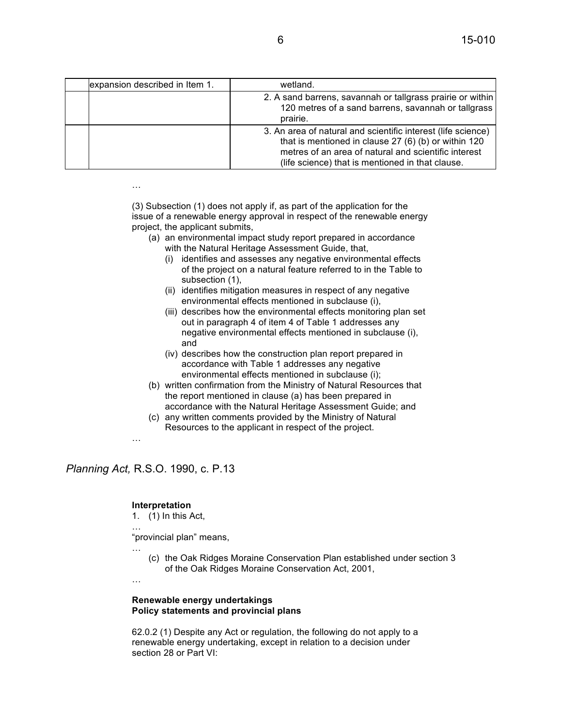| expansion described in Item 1. | wetland.                                                                                                                                                                                                                         |
|--------------------------------|----------------------------------------------------------------------------------------------------------------------------------------------------------------------------------------------------------------------------------|
|                                | 2. A sand barrens, savannah or tallgrass prairie or within<br>120 metres of a sand barrens, savannah or tallgrass<br>prairie.                                                                                                    |
|                                | 3. An area of natural and scientific interest (life science)<br>that is mentioned in clause 27 (6) (b) or within 120<br>metres of an area of natural and scientific interest<br>(life science) that is mentioned in that clause. |

(3) Subsection (1) does not apply if, as part of the application for the issue of a renewable energy approval in respect of the renewable energy project, the applicant submits,

- (a) an environmental impact study report prepared in accordance with the Natural Heritage Assessment Guide, that,
	- (i) identifies and assesses any negative environmental effects of the project on a natural feature referred to in the Table to subsection (1),
	- (ii) identifies mitigation measures in respect of any negative environmental effects mentioned in subclause (i),
	- (iii) describes how the environmental effects monitoring plan set out in paragraph 4 of item 4 of Table 1 addresses any negative environmental effects mentioned in subclause (i), and
	- (iv) describes how the construction plan report prepared in accordance with Table 1 addresses any negative environmental effects mentioned in subclause (i);
- (b) written confirmation from the Ministry of Natural Resources that the report mentioned in clause (a) has been prepared in accordance with the Natural Heritage Assessment Guide; and
- (c) any written comments provided by the Ministry of Natural Resources to the applicant in respect of the project.
- …

…

…

…

*Planning Act,* R.S.O. 1990, c. P.13

#### **Interpretation**

1. (1) In this Act,

"provincial plan" means,

… (c) the Oak Ridges Moraine Conservation Plan established under section 3 of the Oak Ridges Moraine Conservation Act, 2001,

#### **Renewable energy undertakings Policy statements and provincial plans**

62.0.2 (1) Despite any Act or regulation, the following do not apply to a renewable energy undertaking, except in relation to a decision under section 28 or Part VI: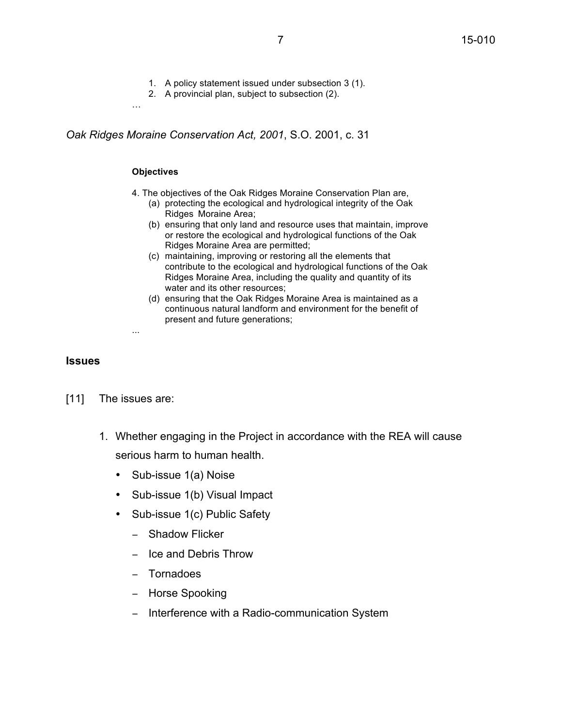- 1. A policy statement issued under subsection 3 (1).
- 2. A provincial plan, subject to subsection (2).

*Oak Ridges Moraine Conservation Act, 2001*, S.O. 2001, c. 31

#### **Objectives**

…

- 4. The objectives of the Oak Ridges Moraine Conservation Plan are,
	- (a) protecting the ecological and hydrological integrity of the Oak Ridges Moraine Area;
	- (b) ensuring that only land and resource uses that maintain, improve or restore the ecological and hydrological functions of the Oak Ridges Moraine Area are permitted;
	- (c) maintaining, improving or restoring all the elements that contribute to the ecological and hydrological functions of the Oak Ridges Moraine Area, including the quality and quantity of its water and its other resources;
	- (d) ensuring that the Oak Ridges Moraine Area is maintained as a continuous natural landform and environment for the benefit of present and future generations;

#### **Issues**

[11] The issues are:

...

- 1. Whether engaging in the Project in accordance with the REA will cause serious harm to human health.
	- Sub-issue 1(a) Noise
	- Sub-issue 1(b) Visual Impact
	- Sub-issue 1(c) Public Safety
		- − Shadow Flicker
		- − Ice and Debris Throw
		- − Tornadoes
		- − Horse Spooking
		- − Interference with a Radio-communication System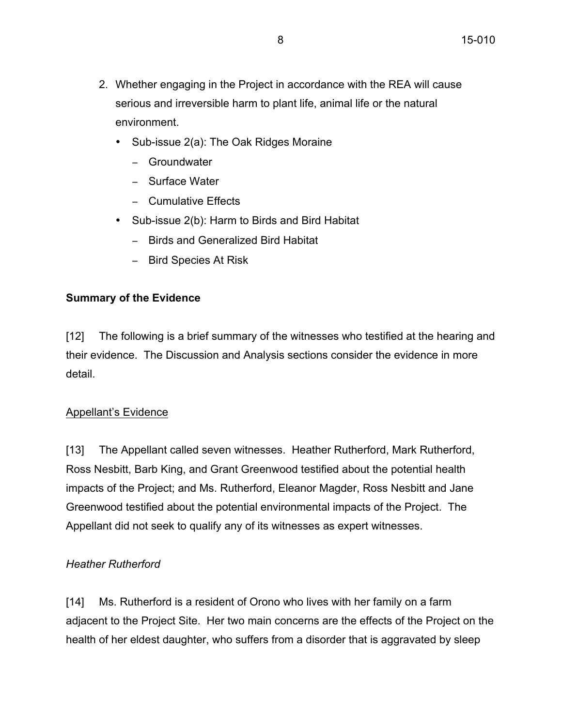- 2. Whether engaging in the Project in accordance with the REA will cause serious and irreversible harm to plant life, animal life or the natural environment.
	- Sub-issue 2(a): The Oak Ridges Moraine
		- − Groundwater
		- − Surface Water
		- − Cumulative Effects
	- Sub-issue 2(b): Harm to Birds and Bird Habitat
		- − Birds and Generalized Bird Habitat
		- − Bird Species At Risk

# **Summary of the Evidence**

[12] The following is a brief summary of the witnesses who testified at the hearing and their evidence. The Discussion and Analysis sections consider the evidence in more detail.

# Appellant's Evidence

[13] The Appellant called seven witnesses. Heather Rutherford, Mark Rutherford, Ross Nesbitt, Barb King, and Grant Greenwood testified about the potential health impacts of the Project; and Ms. Rutherford, Eleanor Magder, Ross Nesbitt and Jane Greenwood testified about the potential environmental impacts of the Project. The Appellant did not seek to qualify any of its witnesses as expert witnesses.

# *Heather Rutherford*

[14] Ms. Rutherford is a resident of Orono who lives with her family on a farm adjacent to the Project Site. Her two main concerns are the effects of the Project on the health of her eldest daughter, who suffers from a disorder that is aggravated by sleep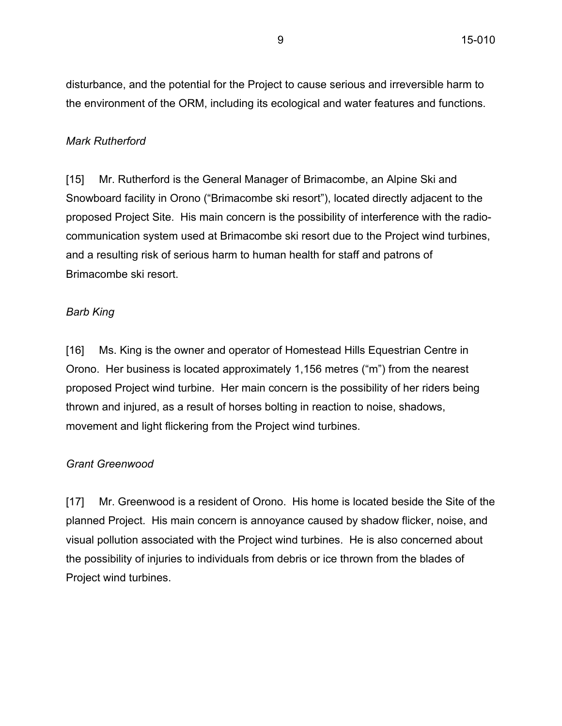disturbance, and the potential for the Project to cause serious and irreversible harm to the environment of the ORM, including its ecological and water features and functions.

#### *Mark Rutherford*

[15] Mr. Rutherford is the General Manager of Brimacombe, an Alpine Ski and Snowboard facility in Orono ("Brimacombe ski resort"), located directly adjacent to the proposed Project Site. His main concern is the possibility of interference with the radiocommunication system used at Brimacombe ski resort due to the Project wind turbines, and a resulting risk of serious harm to human health for staff and patrons of Brimacombe ski resort.

#### *Barb King*

[16] Ms. King is the owner and operator of Homestead Hills Equestrian Centre in Orono. Her business is located approximately 1,156 metres ("m") from the nearest proposed Project wind turbine. Her main concern is the possibility of her riders being thrown and injured, as a result of horses bolting in reaction to noise, shadows, movement and light flickering from the Project wind turbines.

### *Grant Greenwood*

[17] Mr. Greenwood is a resident of Orono. His home is located beside the Site of the planned Project. His main concern is annoyance caused by shadow flicker, noise, and visual pollution associated with the Project wind turbines. He is also concerned about the possibility of injuries to individuals from debris or ice thrown from the blades of Project wind turbines.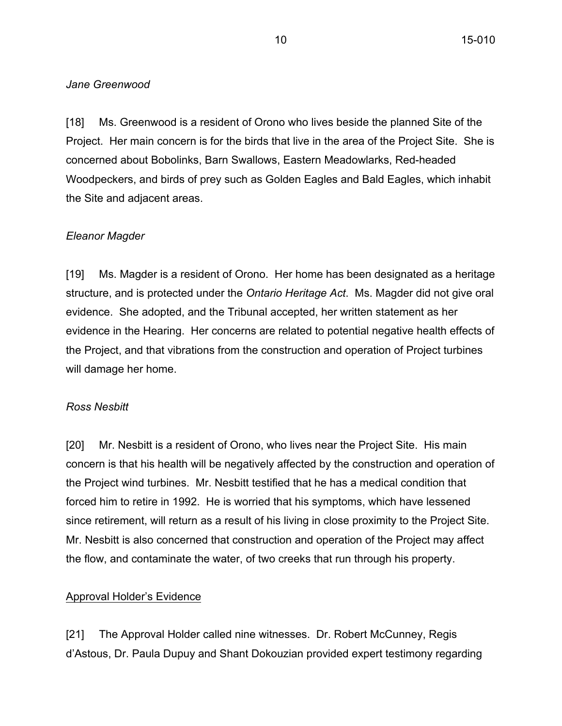#### *Jane Greenwood*

[18] Ms. Greenwood is a resident of Orono who lives beside the planned Site of the Project. Her main concern is for the birds that live in the area of the Project Site. She is concerned about Bobolinks, Barn Swallows, Eastern Meadowlarks, Red-headed Woodpeckers, and birds of prey such as Golden Eagles and Bald Eagles, which inhabit the Site and adjacent areas.

### *Eleanor Magder*

[19] Ms. Magder is a resident of Orono. Her home has been designated as a heritage structure, and is protected under the *Ontario Heritage Act*. Ms. Magder did not give oral evidence. She adopted, and the Tribunal accepted, her written statement as her evidence in the Hearing. Her concerns are related to potential negative health effects of the Project, and that vibrations from the construction and operation of Project turbines will damage her home.

#### *Ross Nesbitt*

[20] Mr. Nesbitt is a resident of Orono, who lives near the Project Site. His main concern is that his health will be negatively affected by the construction and operation of the Project wind turbines. Mr. Nesbitt testified that he has a medical condition that forced him to retire in 1992. He is worried that his symptoms, which have lessened since retirement, will return as a result of his living in close proximity to the Project Site. Mr. Nesbitt is also concerned that construction and operation of the Project may affect the flow, and contaminate the water, of two creeks that run through his property.

### Approval Holder's Evidence

[21] The Approval Holder called nine witnesses. Dr. Robert McCunney, Regis d'Astous, Dr. Paula Dupuy and Shant Dokouzian provided expert testimony regarding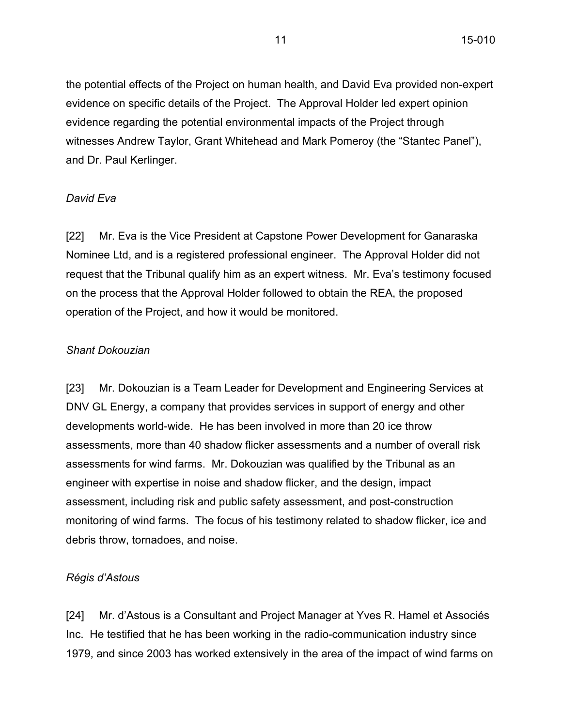the potential effects of the Project on human health, and David Eva provided non-expert evidence on specific details of the Project. The Approval Holder led expert opinion evidence regarding the potential environmental impacts of the Project through witnesses Andrew Taylor, Grant Whitehead and Mark Pomeroy (the "Stantec Panel"), and Dr. Paul Kerlinger.

#### *David Eva*

[22] Mr. Eva is the Vice President at Capstone Power Development for Ganaraska Nominee Ltd, and is a registered professional engineer. The Approval Holder did not request that the Tribunal qualify him as an expert witness. Mr. Eva's testimony focused on the process that the Approval Holder followed to obtain the REA, the proposed operation of the Project, and how it would be monitored.

#### *Shant Dokouzian*

[23] Mr. Dokouzian is a Team Leader for Development and Engineering Services at DNV GL Energy, a company that provides services in support of energy and other developments world-wide. He has been involved in more than 20 ice throw assessments, more than 40 shadow flicker assessments and a number of overall risk assessments for wind farms. Mr. Dokouzian was qualified by the Tribunal as an engineer with expertise in noise and shadow flicker, and the design, impact assessment, including risk and public safety assessment, and post-construction monitoring of wind farms. The focus of his testimony related to shadow flicker, ice and debris throw, tornadoes, and noise.

#### *Régis d'Astous*

[24] Mr. d'Astous is a Consultant and Project Manager at Yves R. Hamel et Associés Inc. He testified that he has been working in the radio-communication industry since 1979, and since 2003 has worked extensively in the area of the impact of wind farms on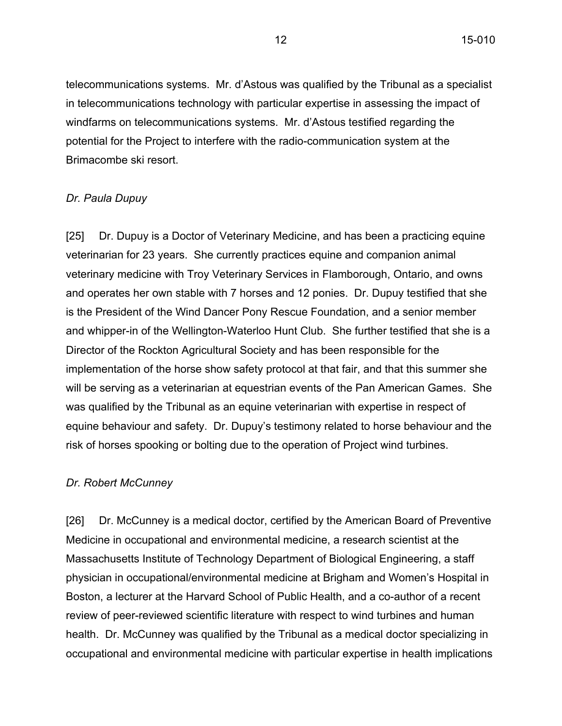telecommunications systems. Mr. d'Astous was qualified by the Tribunal as a specialist in telecommunications technology with particular expertise in assessing the impact of windfarms on telecommunications systems. Mr. d'Astous testified regarding the potential for the Project to interfere with the radio-communication system at the Brimacombe ski resort.

#### *Dr. Paula Dupuy*

[25] Dr. Dupuy is a Doctor of Veterinary Medicine, and has been a practicing equine veterinarian for 23 years. She currently practices equine and companion animal veterinary medicine with Troy Veterinary Services in Flamborough, Ontario, and owns and operates her own stable with 7 horses and 12 ponies. Dr. Dupuy testified that she is the President of the Wind Dancer Pony Rescue Foundation, and a senior member and whipper-in of the Wellington-Waterloo Hunt Club. She further testified that she is a Director of the Rockton Agricultural Society and has been responsible for the implementation of the horse show safety protocol at that fair, and that this summer she will be serving as a veterinarian at equestrian events of the Pan American Games. She was qualified by the Tribunal as an equine veterinarian with expertise in respect of equine behaviour and safety. Dr. Dupuy's testimony related to horse behaviour and the risk of horses spooking or bolting due to the operation of Project wind turbines.

#### *Dr. Robert McCunney*

[26] Dr. McCunney is a medical doctor, certified by the American Board of Preventive Medicine in occupational and environmental medicine, a research scientist at the Massachusetts Institute of Technology Department of Biological Engineering, a staff physician in occupational/environmental medicine at Brigham and Women's Hospital in Boston, a lecturer at the Harvard School of Public Health, and a co-author of a recent review of peer-reviewed scientific literature with respect to wind turbines and human health. Dr. McCunney was qualified by the Tribunal as a medical doctor specializing in occupational and environmental medicine with particular expertise in health implications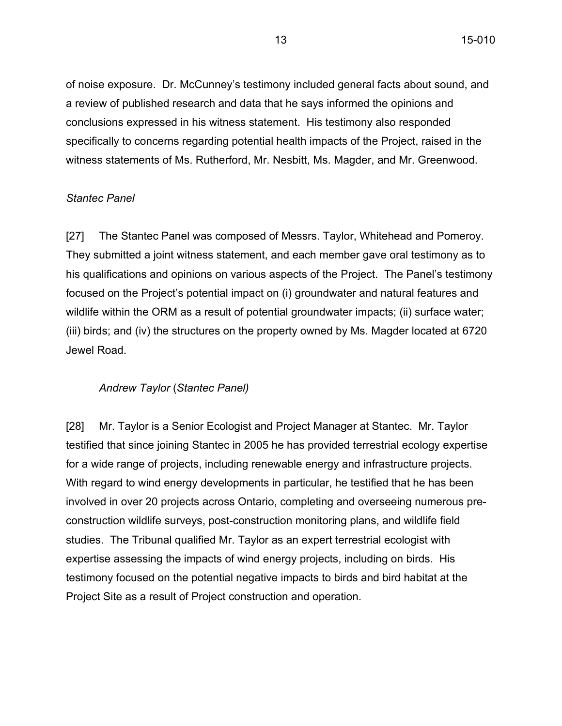of noise exposure. Dr. McCunney's testimony included general facts about sound, and a review of published research and data that he says informed the opinions and conclusions expressed in his witness statement. His testimony also responded specifically to concerns regarding potential health impacts of the Project, raised in the witness statements of Ms. Rutherford, Mr. Nesbitt, Ms. Magder, and Mr. Greenwood.

### *Stantec Panel*

[27] The Stantec Panel was composed of Messrs. Taylor, Whitehead and Pomeroy. They submitted a joint witness statement, and each member gave oral testimony as to his qualifications and opinions on various aspects of the Project. The Panel's testimony focused on the Project's potential impact on (i) groundwater and natural features and wildlife within the ORM as a result of potential groundwater impacts; (ii) surface water; (iii) birds; and (iv) the structures on the property owned by Ms. Magder located at 6720 Jewel Road.

### *Andrew Taylor* (*Stantec Panel)*

[28] Mr. Taylor is a Senior Ecologist and Project Manager at Stantec. Mr. Taylor testified that since joining Stantec in 2005 he has provided terrestrial ecology expertise for a wide range of projects, including renewable energy and infrastructure projects. With regard to wind energy developments in particular, he testified that he has been involved in over 20 projects across Ontario, completing and overseeing numerous preconstruction wildlife surveys, post-construction monitoring plans, and wildlife field studies. The Tribunal qualified Mr. Taylor as an expert terrestrial ecologist with expertise assessing the impacts of wind energy projects, including on birds. His testimony focused on the potential negative impacts to birds and bird habitat at the Project Site as a result of Project construction and operation.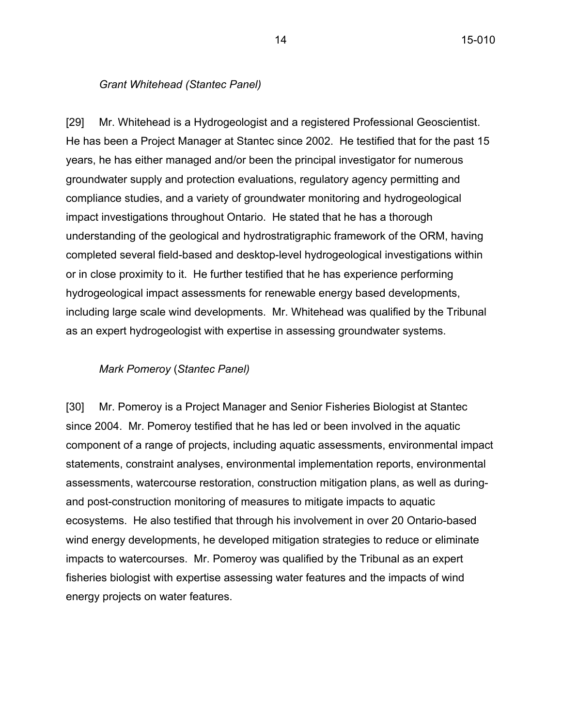#### *Grant Whitehead (Stantec Panel)*

[29] Mr. Whitehead is a Hydrogeologist and a registered Professional Geoscientist. He has been a Project Manager at Stantec since 2002. He testified that for the past 15 years, he has either managed and/or been the principal investigator for numerous groundwater supply and protection evaluations, regulatory agency permitting and compliance studies, and a variety of groundwater monitoring and hydrogeological impact investigations throughout Ontario. He stated that he has a thorough understanding of the geological and hydrostratigraphic framework of the ORM, having completed several field-based and desktop-level hydrogeological investigations within or in close proximity to it. He further testified that he has experience performing hydrogeological impact assessments for renewable energy based developments, including large scale wind developments. Mr. Whitehead was qualified by the Tribunal as an expert hydrogeologist with expertise in assessing groundwater systems.

#### *Mark Pomeroy* (*Stantec Panel)*

[30] Mr. Pomeroy is a Project Manager and Senior Fisheries Biologist at Stantec since 2004. Mr. Pomeroy testified that he has led or been involved in the aquatic component of a range of projects, including aquatic assessments, environmental impact statements, constraint analyses, environmental implementation reports, environmental assessments, watercourse restoration, construction mitigation plans, as well as duringand post-construction monitoring of measures to mitigate impacts to aquatic ecosystems. He also testified that through his involvement in over 20 Ontario-based wind energy developments, he developed mitigation strategies to reduce or eliminate impacts to watercourses. Mr. Pomeroy was qualified by the Tribunal as an expert fisheries biologist with expertise assessing water features and the impacts of wind energy projects on water features.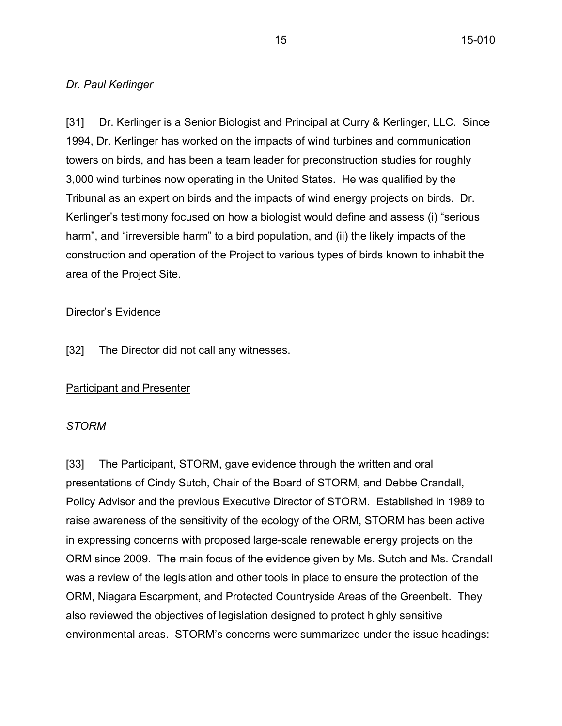#### *Dr. Paul Kerlinger*

[31] Dr. Kerlinger is a Senior Biologist and Principal at Curry & Kerlinger, LLC. Since 1994, Dr. Kerlinger has worked on the impacts of wind turbines and communication towers on birds, and has been a team leader for preconstruction studies for roughly 3,000 wind turbines now operating in the United States. He was qualified by the Tribunal as an expert on birds and the impacts of wind energy projects on birds. Dr. Kerlinger's testimony focused on how a biologist would define and assess (i) "serious harm", and "irreversible harm" to a bird population, and (ii) the likely impacts of the construction and operation of the Project to various types of birds known to inhabit the area of the Project Site.

#### Director's Evidence

[32] The Director did not call any witnesses.

### Participant and Presenter

### *STORM*

[33] The Participant, STORM, gave evidence through the written and oral presentations of Cindy Sutch, Chair of the Board of STORM, and Debbe Crandall, Policy Advisor and the previous Executive Director of STORM. Established in 1989 to raise awareness of the sensitivity of the ecology of the ORM, STORM has been active in expressing concerns with proposed large-scale renewable energy projects on the ORM since 2009. The main focus of the evidence given by Ms. Sutch and Ms. Crandall was a review of the legislation and other tools in place to ensure the protection of the ORM, Niagara Escarpment, and Protected Countryside Areas of the Greenbelt. They also reviewed the objectives of legislation designed to protect highly sensitive environmental areas. STORM's concerns were summarized under the issue headings: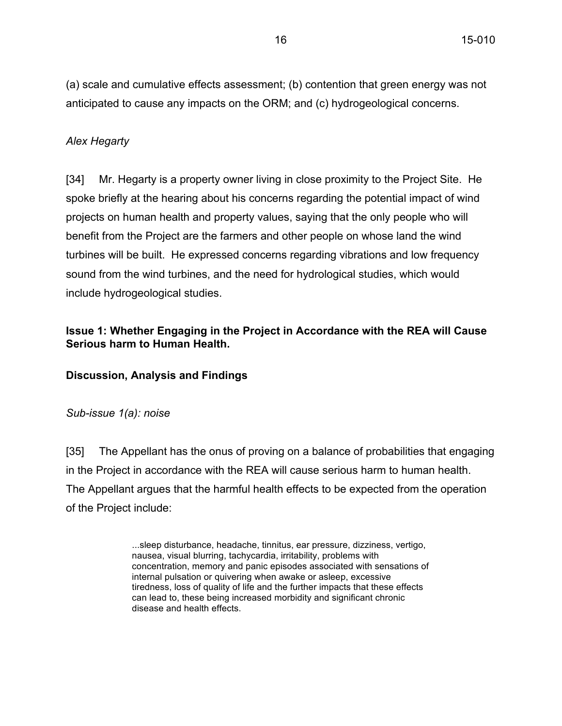(a) scale and cumulative effects assessment; (b) contention that green energy was not anticipated to cause any impacts on the ORM; and (c) hydrogeological concerns.

### *Alex Hegarty*

[34] Mr. Hegarty is a property owner living in close proximity to the Project Site. He spoke briefly at the hearing about his concerns regarding the potential impact of wind projects on human health and property values, saying that the only people who will benefit from the Project are the farmers and other people on whose land the wind turbines will be built. He expressed concerns regarding vibrations and low frequency sound from the wind turbines, and the need for hydrological studies, which would include hydrogeological studies.

# **Issue 1: Whether Engaging in the Project in Accordance with the REA will Cause Serious harm to Human Health.**

### **Discussion, Analysis and Findings**

### *Sub-issue 1(a): noise*

[35] The Appellant has the onus of proving on a balance of probabilities that engaging in the Project in accordance with the REA will cause serious harm to human health. The Appellant argues that the harmful health effects to be expected from the operation of the Project include:

> ...sleep disturbance, headache, tinnitus, ear pressure, dizziness, vertigo, nausea, visual blurring, tachycardia, irritability, problems with concentration, memory and panic episodes associated with sensations of internal pulsation or quivering when awake or asleep, excessive tiredness, loss of quality of life and the further impacts that these effects can lead to, these being increased morbidity and significant chronic disease and health effects.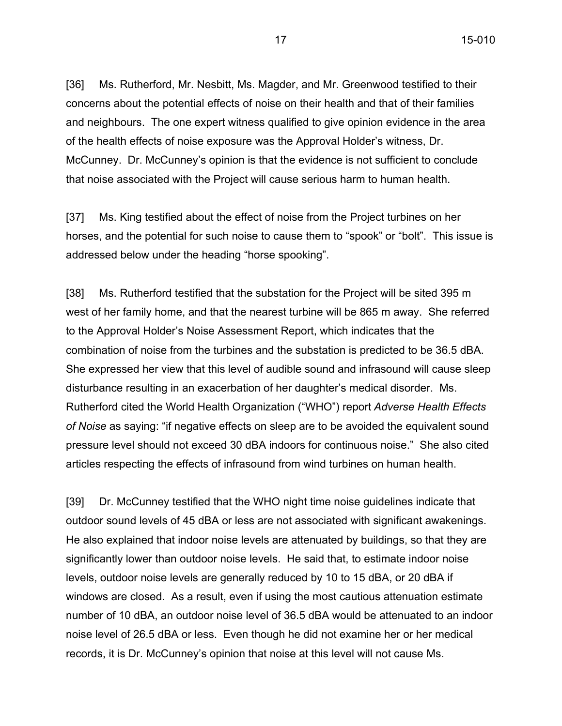[36] Ms. Rutherford, Mr. Nesbitt, Ms. Magder, and Mr. Greenwood testified to their concerns about the potential effects of noise on their health and that of their families and neighbours. The one expert witness qualified to give opinion evidence in the area of the health effects of noise exposure was the Approval Holder's witness, Dr. McCunney. Dr. McCunney's opinion is that the evidence is not sufficient to conclude that noise associated with the Project will cause serious harm to human health.

[37] Ms. King testified about the effect of noise from the Project turbines on her horses, and the potential for such noise to cause them to "spook" or "bolt". This issue is addressed below under the heading "horse spooking".

[38] Ms. Rutherford testified that the substation for the Project will be sited 395 m west of her family home, and that the nearest turbine will be 865 m away. She referred to the Approval Holder's Noise Assessment Report, which indicates that the combination of noise from the turbines and the substation is predicted to be 36.5 dBA. She expressed her view that this level of audible sound and infrasound will cause sleep disturbance resulting in an exacerbation of her daughter's medical disorder. Ms. Rutherford cited the World Health Organization ("WHO") report *Adverse Health Effects of Noise* as saying: "if negative effects on sleep are to be avoided the equivalent sound pressure level should not exceed 30 dBA indoors for continuous noise." She also cited articles respecting the effects of infrasound from wind turbines on human health.

[39] Dr. McCunney testified that the WHO night time noise guidelines indicate that outdoor sound levels of 45 dBA or less are not associated with significant awakenings. He also explained that indoor noise levels are attenuated by buildings, so that they are significantly lower than outdoor noise levels. He said that, to estimate indoor noise levels, outdoor noise levels are generally reduced by 10 to 15 dBA, or 20 dBA if windows are closed. As a result, even if using the most cautious attenuation estimate number of 10 dBA, an outdoor noise level of 36.5 dBA would be attenuated to an indoor noise level of 26.5 dBA or less. Even though he did not examine her or her medical records, it is Dr. McCunney's opinion that noise at this level will not cause Ms.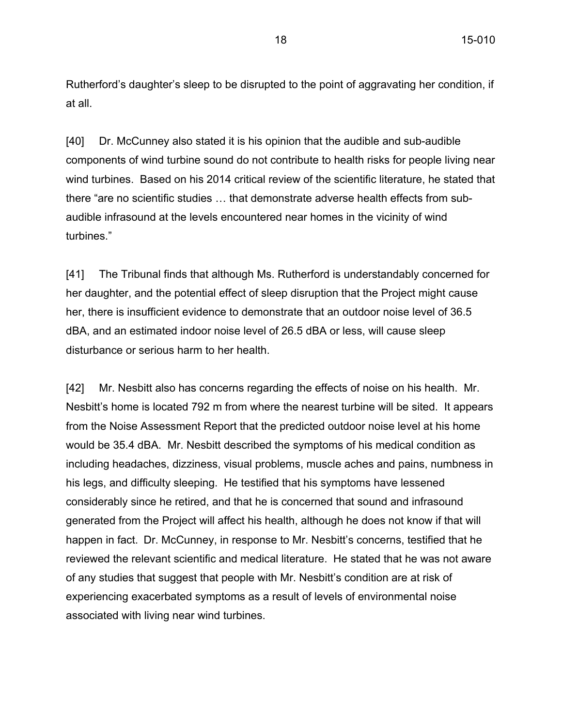Rutherford's daughter's sleep to be disrupted to the point of aggravating her condition, if at all.

[40] Dr. McCunney also stated it is his opinion that the audible and sub-audible components of wind turbine sound do not contribute to health risks for people living near wind turbines. Based on his 2014 critical review of the scientific literature, he stated that there "are no scientific studies … that demonstrate adverse health effects from subaudible infrasound at the levels encountered near homes in the vicinity of wind turbines."

[41] The Tribunal finds that although Ms. Rutherford is understandably concerned for her daughter, and the potential effect of sleep disruption that the Project might cause her, there is insufficient evidence to demonstrate that an outdoor noise level of 36.5 dBA, and an estimated indoor noise level of 26.5 dBA or less, will cause sleep disturbance or serious harm to her health.

[42] Mr. Nesbitt also has concerns regarding the effects of noise on his health. Mr. Nesbitt's home is located 792 m from where the nearest turbine will be sited. It appears from the Noise Assessment Report that the predicted outdoor noise level at his home would be 35.4 dBA. Mr. Nesbitt described the symptoms of his medical condition as including headaches, dizziness, visual problems, muscle aches and pains, numbness in his legs, and difficulty sleeping. He testified that his symptoms have lessened considerably since he retired, and that he is concerned that sound and infrasound generated from the Project will affect his health, although he does not know if that will happen in fact. Dr. McCunney, in response to Mr. Nesbitt's concerns, testified that he reviewed the relevant scientific and medical literature. He stated that he was not aware of any studies that suggest that people with Mr. Nesbitt's condition are at risk of experiencing exacerbated symptoms as a result of levels of environmental noise associated with living near wind turbines.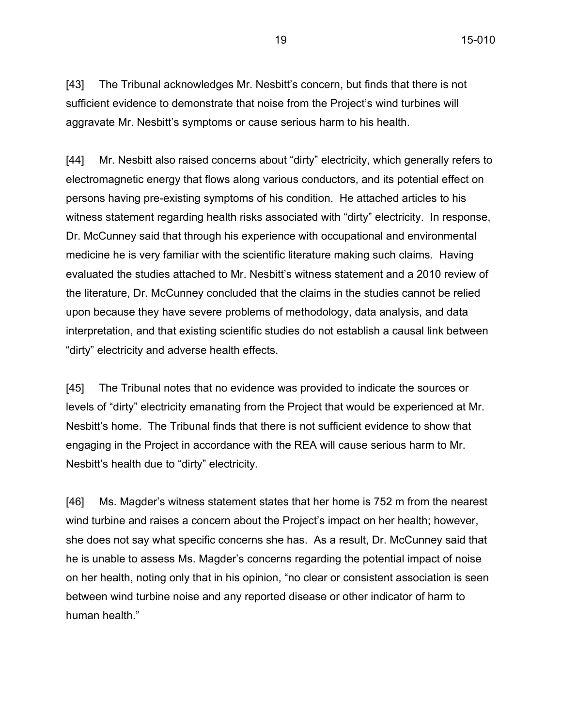[43] The Tribunal acknowledges Mr. Nesbitt's concern, but finds that there is not sufficient evidence to demonstrate that noise from the Project's wind turbines will aggravate Mr. Nesbitt's symptoms or cause serious harm to his health.

[44] Mr. Nesbitt also raised concerns about "dirty" electricity, which generally refers to electromagnetic energy that flows along various conductors, and its potential effect on persons having pre-existing symptoms of his condition. He attached articles to his witness statement regarding health risks associated with "dirty" electricity. In response, Dr. McCunney said that through his experience with occupational and environmental medicine he is very familiar with the scientific literature making such claims. Having evaluated the studies attached to Mr. Nesbitt's witness statement and a 2010 review of the literature, Dr. McCunney concluded that the claims in the studies cannot be relied upon because they have severe problems of methodology, data analysis, and data interpretation, and that existing scientific studies do not establish a causal link between "dirty" electricity and adverse health effects.

[45] The Tribunal notes that no evidence was provided to indicate the sources or levels of "dirty" electricity emanating from the Project that would be experienced at Mr. Nesbitt's home. The Tribunal finds that there is not sufficient evidence to show that engaging in the Project in accordance with the REA will cause serious harm to Mr. Nesbitt's health due to "dirty" electricity.

[46] Ms. Magder's witness statement states that her home is 752 m from the nearest wind turbine and raises a concern about the Project's impact on her health; however, she does not say what specific concerns she has. As a result, Dr. McCunney said that he is unable to assess Ms. Magder's concerns regarding the potential impact of noise on her health, noting only that in his opinion, "no clear or consistent association is seen between wind turbine noise and any reported disease or other indicator of harm to human health."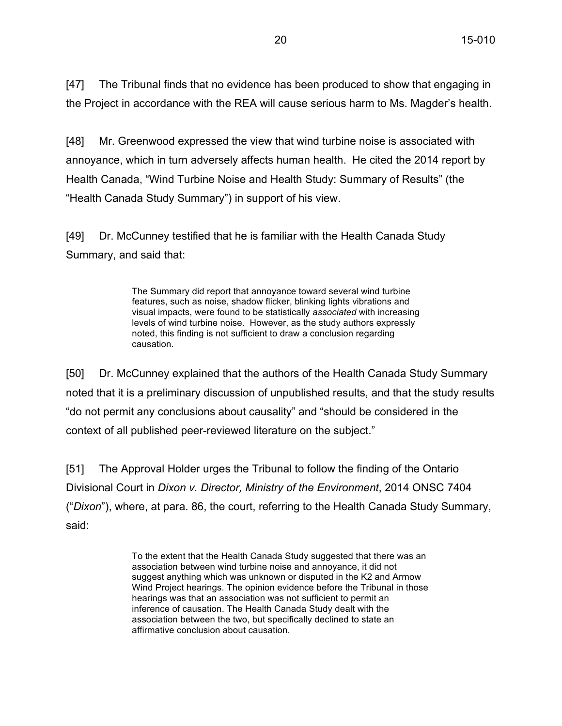[47] The Tribunal finds that no evidence has been produced to show that engaging in the Project in accordance with the REA will cause serious harm to Ms. Magder's health.

[48] Mr. Greenwood expressed the view that wind turbine noise is associated with annoyance, which in turn adversely affects human health. He cited the 2014 report by Health Canada, "Wind Turbine Noise and Health Study: Summary of Results" (the "Health Canada Study Summary") in support of his view.

[49] Dr. McCunney testified that he is familiar with the Health Canada Study Summary, and said that:

> The Summary did report that annoyance toward several wind turbine features, such as noise, shadow flicker, blinking lights vibrations and visual impacts, were found to be statistically *associated* with increasing levels of wind turbine noise. However, as the study authors expressly noted, this finding is not sufficient to draw a conclusion regarding causation.

[50] Dr. McCunney explained that the authors of the Health Canada Study Summary noted that it is a preliminary discussion of unpublished results, and that the study results "do not permit any conclusions about causality" and "should be considered in the context of all published peer-reviewed literature on the subject."

[51] The Approval Holder urges the Tribunal to follow the finding of the Ontario Divisional Court in *Dixon v. Director, Ministry of the Environment*, 2014 ONSC 7404 ("*Dixon*"), where, at para. 86, the court, referring to the Health Canada Study Summary, said:

> To the extent that the Health Canada Study suggested that there was an association between wind turbine noise and annoyance, it did not suggest anything which was unknown or disputed in the K2 and Armow Wind Project hearings. The opinion evidence before the Tribunal in those hearings was that an association was not sufficient to permit an inference of causation. The Health Canada Study dealt with the association between the two, but specifically declined to state an affirmative conclusion about causation.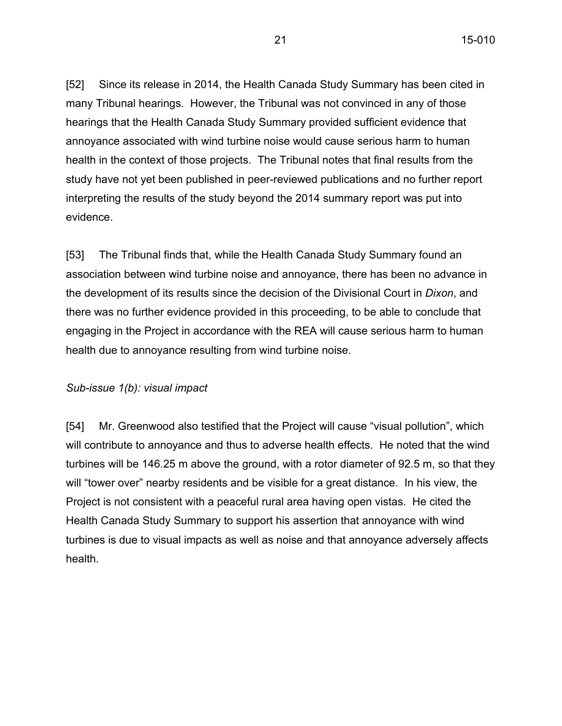[52] Since its release in 2014, the Health Canada Study Summary has been cited in many Tribunal hearings. However, the Tribunal was not convinced in any of those hearings that the Health Canada Study Summary provided sufficient evidence that annoyance associated with wind turbine noise would cause serious harm to human health in the context of those projects. The Tribunal notes that final results from the study have not yet been published in peer-reviewed publications and no further report interpreting the results of the study beyond the 2014 summary report was put into evidence.

[53] The Tribunal finds that, while the Health Canada Study Summary found an association between wind turbine noise and annoyance, there has been no advance in the development of its results since the decision of the Divisional Court in *Dixon*, and there was no further evidence provided in this proceeding, to be able to conclude that engaging in the Project in accordance with the REA will cause serious harm to human health due to annoyance resulting from wind turbine noise.

### *Sub-issue 1(b): visual impact*

[54] Mr. Greenwood also testified that the Project will cause "visual pollution", which will contribute to annoyance and thus to adverse health effects. He noted that the wind turbines will be 146.25 m above the ground, with a rotor diameter of 92.5 m, so that they will "tower over" nearby residents and be visible for a great distance. In his view, the Project is not consistent with a peaceful rural area having open vistas. He cited the Health Canada Study Summary to support his assertion that annoyance with wind turbines is due to visual impacts as well as noise and that annoyance adversely affects health.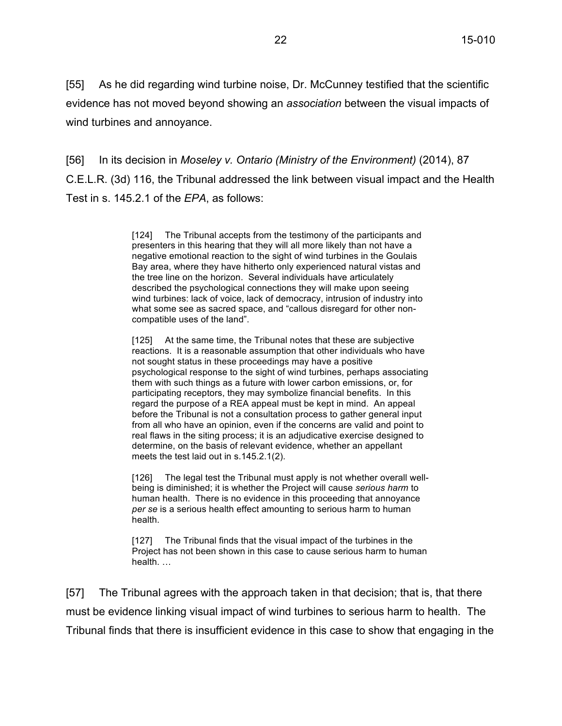[55] As he did regarding wind turbine noise, Dr. McCunney testified that the scientific evidence has not moved beyond showing an *association* between the visual impacts of wind turbines and annoyance.

[56] In its decision in *Moseley v. Ontario (Ministry of the Environment)* (2014), 87 C.E.L.R. (3d) 116, the Tribunal addressed the link between visual impact and the Health Test in s. 145.2.1 of the *EPA*, as follows:

> [124] The Tribunal accepts from the testimony of the participants and presenters in this hearing that they will all more likely than not have a negative emotional reaction to the sight of wind turbines in the Goulais Bay area, where they have hitherto only experienced natural vistas and the tree line on the horizon. Several individuals have articulately described the psychological connections they will make upon seeing wind turbines: lack of voice, lack of democracy, intrusion of industry into what some see as sacred space, and "callous disregard for other noncompatible uses of the land".

[125] At the same time, the Tribunal notes that these are subjective reactions. It is a reasonable assumption that other individuals who have not sought status in these proceedings may have a positive psychological response to the sight of wind turbines, perhaps associating them with such things as a future with lower carbon emissions, or, for participating receptors, they may symbolize financial benefits. In this regard the purpose of a REA appeal must be kept in mind. An appeal before the Tribunal is not a consultation process to gather general input from all who have an opinion, even if the concerns are valid and point to real flaws in the siting process; it is an adjudicative exercise designed to determine, on the basis of relevant evidence, whether an appellant meets the test laid out in s.145.2.1(2).

[126] The legal test the Tribunal must apply is not whether overall wellbeing is diminished; it is whether the Project will cause *serious harm* to human health. There is no evidence in this proceeding that annoyance *per se* is a serious health effect amounting to serious harm to human health.

[127] The Tribunal finds that the visual impact of the turbines in the Project has not been shown in this case to cause serious harm to human health. …

[57] The Tribunal agrees with the approach taken in that decision; that is, that there must be evidence linking visual impact of wind turbines to serious harm to health. The Tribunal finds that there is insufficient evidence in this case to show that engaging in the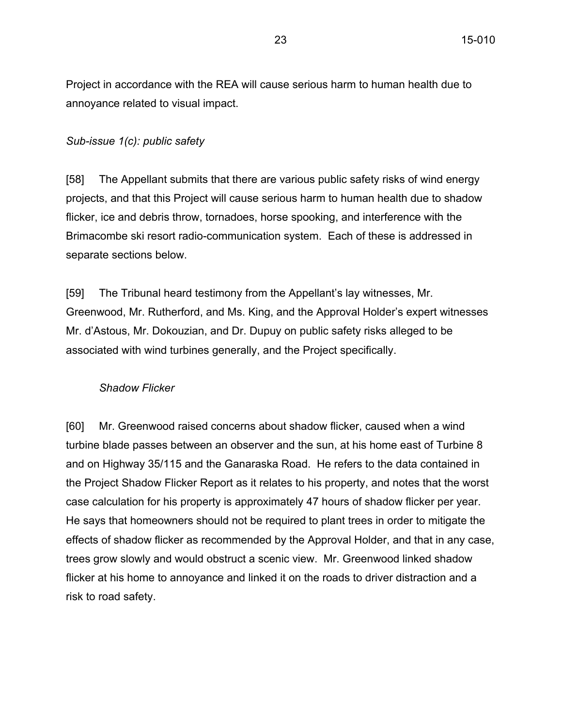Project in accordance with the REA will cause serious harm to human health due to annoyance related to visual impact.

#### *Sub-issue 1(c): public safety*

[58] The Appellant submits that there are various public safety risks of wind energy projects, and that this Project will cause serious harm to human health due to shadow flicker, ice and debris throw, tornadoes, horse spooking, and interference with the Brimacombe ski resort radio-communication system. Each of these is addressed in separate sections below.

[59] The Tribunal heard testimony from the Appellant's lay witnesses, Mr. Greenwood, Mr. Rutherford, and Ms. King, and the Approval Holder's expert witnesses Mr. d'Astous, Mr. Dokouzian, and Dr. Dupuy on public safety risks alleged to be associated with wind turbines generally, and the Project specifically.

#### *Shadow Flicker*

[60] Mr. Greenwood raised concerns about shadow flicker, caused when a wind turbine blade passes between an observer and the sun, at his home east of Turbine 8 and on Highway 35/115 and the Ganaraska Road. He refers to the data contained in the Project Shadow Flicker Report as it relates to his property, and notes that the worst case calculation for his property is approximately 47 hours of shadow flicker per year. He says that homeowners should not be required to plant trees in order to mitigate the effects of shadow flicker as recommended by the Approval Holder, and that in any case, trees grow slowly and would obstruct a scenic view. Mr. Greenwood linked shadow flicker at his home to annoyance and linked it on the roads to driver distraction and a risk to road safety.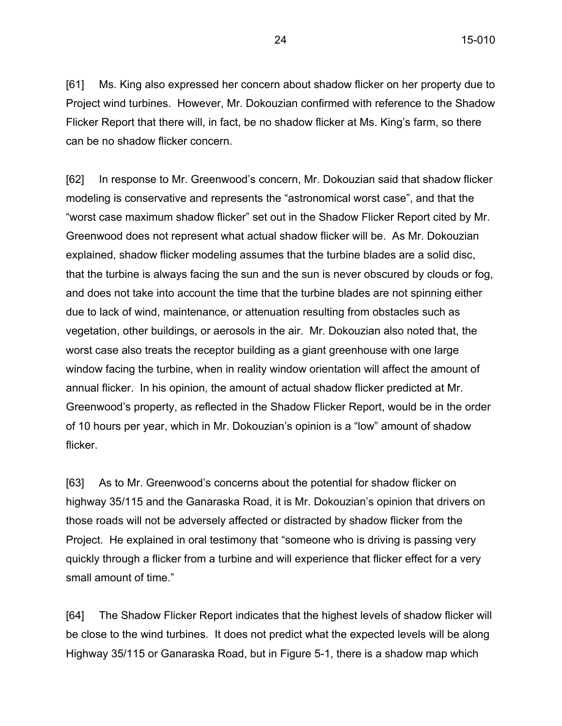[61] Ms. King also expressed her concern about shadow flicker on her property due to Project wind turbines. However, Mr. Dokouzian confirmed with reference to the Shadow Flicker Report that there will, in fact, be no shadow flicker at Ms. King's farm, so there can be no shadow flicker concern.

[62] In response to Mr. Greenwood's concern, Mr. Dokouzian said that shadow flicker modeling is conservative and represents the "astronomical worst case", and that the "worst case maximum shadow flicker" set out in the Shadow Flicker Report cited by Mr. Greenwood does not represent what actual shadow flicker will be. As Mr. Dokouzian explained, shadow flicker modeling assumes that the turbine blades are a solid disc, that the turbine is always facing the sun and the sun is never obscured by clouds or fog, and does not take into account the time that the turbine blades are not spinning either due to lack of wind, maintenance, or attenuation resulting from obstacles such as vegetation, other buildings, or aerosols in the air. Mr. Dokouzian also noted that, the worst case also treats the receptor building as a giant greenhouse with one large window facing the turbine, when in reality window orientation will affect the amount of annual flicker. In his opinion, the amount of actual shadow flicker predicted at Mr. Greenwood's property, as reflected in the Shadow Flicker Report, would be in the order of 10 hours per year, which in Mr. Dokouzian's opinion is a "low" amount of shadow flicker.

[63] As to Mr. Greenwood's concerns about the potential for shadow flicker on highway 35/115 and the Ganaraska Road, it is Mr. Dokouzian's opinion that drivers on those roads will not be adversely affected or distracted by shadow flicker from the Project. He explained in oral testimony that "someone who is driving is passing very quickly through a flicker from a turbine and will experience that flicker effect for a very small amount of time."

[64] The Shadow Flicker Report indicates that the highest levels of shadow flicker will be close to the wind turbines. It does not predict what the expected levels will be along Highway 35/115 or Ganaraska Road, but in Figure 5-1, there is a shadow map which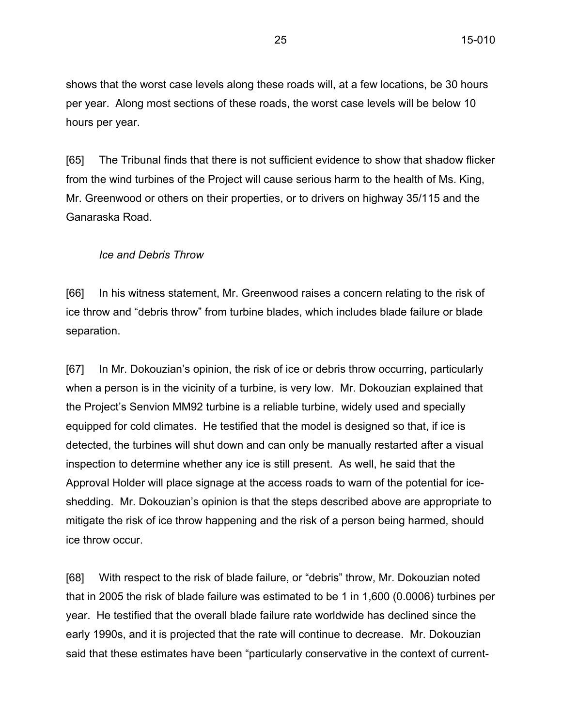shows that the worst case levels along these roads will, at a few locations, be 30 hours per year. Along most sections of these roads, the worst case levels will be below 10 hours per year.

[65] The Tribunal finds that there is not sufficient evidence to show that shadow flicker from the wind turbines of the Project will cause serious harm to the health of Ms. King, Mr. Greenwood or others on their properties, or to drivers on highway 35/115 and the Ganaraska Road.

#### *Ice and Debris Throw*

[66] In his witness statement, Mr. Greenwood raises a concern relating to the risk of ice throw and "debris throw" from turbine blades, which includes blade failure or blade separation.

[67] In Mr. Dokouzian's opinion, the risk of ice or debris throw occurring, particularly when a person is in the vicinity of a turbine, is very low. Mr. Dokouzian explained that the Project's Senvion MM92 turbine is a reliable turbine, widely used and specially equipped for cold climates. He testified that the model is designed so that, if ice is detected, the turbines will shut down and can only be manually restarted after a visual inspection to determine whether any ice is still present. As well, he said that the Approval Holder will place signage at the access roads to warn of the potential for iceshedding. Mr. Dokouzian's opinion is that the steps described above are appropriate to mitigate the risk of ice throw happening and the risk of a person being harmed, should ice throw occur.

[68] With respect to the risk of blade failure, or "debris" throw, Mr. Dokouzian noted that in 2005 the risk of blade failure was estimated to be 1 in 1,600 (0.0006) turbines per year. He testified that the overall blade failure rate worldwide has declined since the early 1990s, and it is projected that the rate will continue to decrease. Mr. Dokouzian said that these estimates have been "particularly conservative in the context of current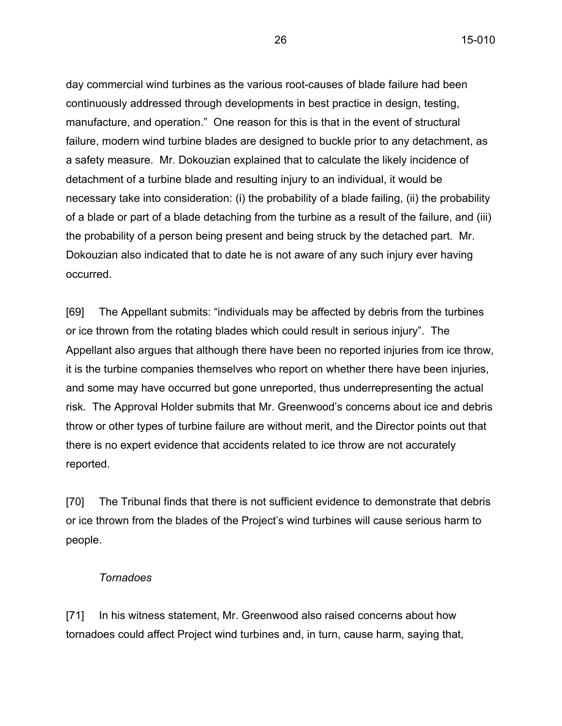day commercial wind turbines as the various root-causes of blade failure had been continuously addressed through developments in best practice in design, testing, manufacture, and operation." One reason for this is that in the event of structural failure, modern wind turbine blades are designed to buckle prior to any detachment, as a safety measure. Mr. Dokouzian explained that to calculate the likely incidence of detachment of a turbine blade and resulting injury to an individual, it would be necessary take into consideration: (i) the probability of a blade failing, (ii) the probability of a blade or part of a blade detaching from the turbine as a result of the failure, and (iii) the probability of a person being present and being struck by the detached part. Mr. Dokouzian also indicated that to date he is not aware of any such injury ever having occurred.

[69] The Appellant submits: "individuals may be affected by debris from the turbines or ice thrown from the rotating blades which could result in serious injury". The Appellant also argues that although there have been no reported injuries from ice throw, it is the turbine companies themselves who report on whether there have been injuries, and some may have occurred but gone unreported, thus underrepresenting the actual risk. The Approval Holder submits that Mr. Greenwood's concerns about ice and debris throw or other types of turbine failure are without merit, and the Director points out that there is no expert evidence that accidents related to ice throw are not accurately reported.

[70] The Tribunal finds that there is not sufficient evidence to demonstrate that debris or ice thrown from the blades of the Project's wind turbines will cause serious harm to people.

### *Tornadoes*

[71] In his witness statement, Mr. Greenwood also raised concerns about how tornadoes could affect Project wind turbines and, in turn, cause harm, saying that,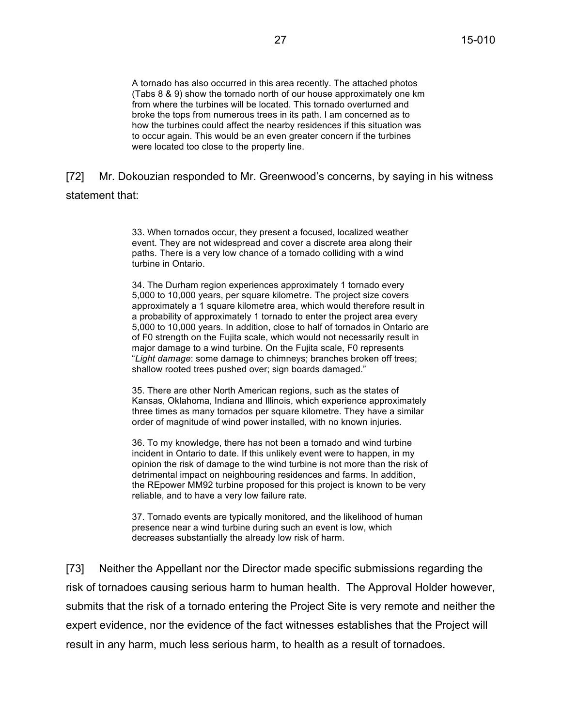A tornado has also occurred in this area recently. The attached photos (Tabs 8 & 9) show the tornado north of our house approximately one km from where the turbines will be located. This tornado overturned and broke the tops from numerous trees in its path. I am concerned as to how the turbines could affect the nearby residences if this situation was to occur again. This would be an even greater concern if the turbines were located too close to the property line.

# [72] Mr. Dokouzian responded to Mr. Greenwood's concerns, by saying in his witness statement that:

33. When tornados occur, they present a focused, localized weather event. They are not widespread and cover a discrete area along their paths. There is a very low chance of a tornado colliding with a wind turbine in Ontario.

34. The Durham region experiences approximately 1 tornado every 5,000 to 10,000 years, per square kilometre. The project size covers approximately a 1 square kilometre area, which would therefore result in a probability of approximately 1 tornado to enter the project area every 5,000 to 10,000 years. In addition, close to half of tornados in Ontario are of F0 strength on the Fujita scale, which would not necessarily result in major damage to a wind turbine. On the Fujita scale, F0 represents "*Light damage*: some damage to chimneys; branches broken off trees; shallow rooted trees pushed over; sign boards damaged."

35. There are other North American regions, such as the states of Kansas, Oklahoma, Indiana and Illinois, which experience approximately three times as many tornados per square kilometre. They have a similar order of magnitude of wind power installed, with no known injuries.

36. To my knowledge, there has not been a tornado and wind turbine incident in Ontario to date. If this unlikely event were to happen, in my opinion the risk of damage to the wind turbine is not more than the risk of detrimental impact on neighbouring residences and farms. In addition, the REpower MM92 turbine proposed for this project is known to be very reliable, and to have a very low failure rate.

37. Tornado events are typically monitored, and the likelihood of human presence near a wind turbine during such an event is low, which decreases substantially the already low risk of harm.

[73] Neither the Appellant nor the Director made specific submissions regarding the risk of tornadoes causing serious harm to human health. The Approval Holder however, submits that the risk of a tornado entering the Project Site is very remote and neither the expert evidence, nor the evidence of the fact witnesses establishes that the Project will result in any harm, much less serious harm, to health as a result of tornadoes.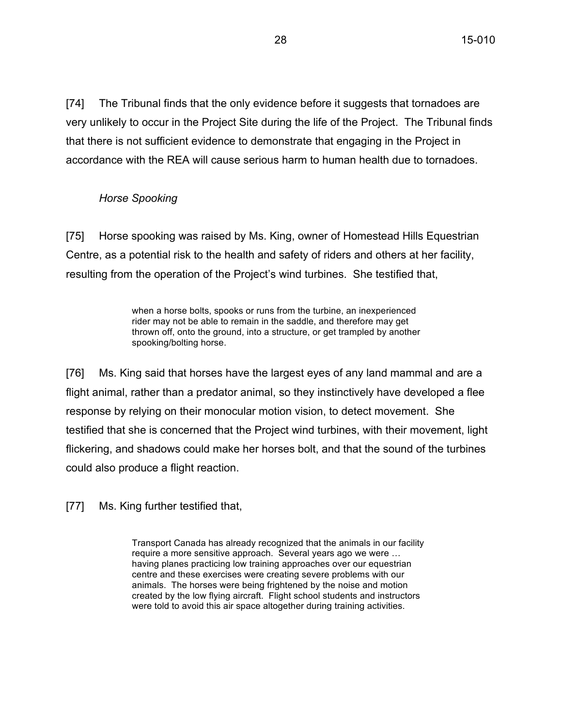[74] The Tribunal finds that the only evidence before it suggests that tornadoes are very unlikely to occur in the Project Site during the life of the Project. The Tribunal finds that there is not sufficient evidence to demonstrate that engaging in the Project in accordance with the REA will cause serious harm to human health due to tornadoes.

### *Horse Spooking*

[75] Horse spooking was raised by Ms. King, owner of Homestead Hills Equestrian Centre, as a potential risk to the health and safety of riders and others at her facility, resulting from the operation of the Project's wind turbines. She testified that,

> when a horse bolts, spooks or runs from the turbine, an inexperienced rider may not be able to remain in the saddle, and therefore may get thrown off, onto the ground, into a structure, or get trampled by another spooking/bolting horse.

[76] Ms. King said that horses have the largest eyes of any land mammal and are a flight animal, rather than a predator animal, so they instinctively have developed a flee response by relying on their monocular motion vision, to detect movement. She testified that she is concerned that the Project wind turbines, with their movement, light flickering, and shadows could make her horses bolt, and that the sound of the turbines could also produce a flight reaction.

[77] Ms. King further testified that,

Transport Canada has already recognized that the animals in our facility require a more sensitive approach. Several years ago we were … having planes practicing low training approaches over our equestrian centre and these exercises were creating severe problems with our animals. The horses were being frightened by the noise and motion created by the low flying aircraft. Flight school students and instructors were told to avoid this air space altogether during training activities.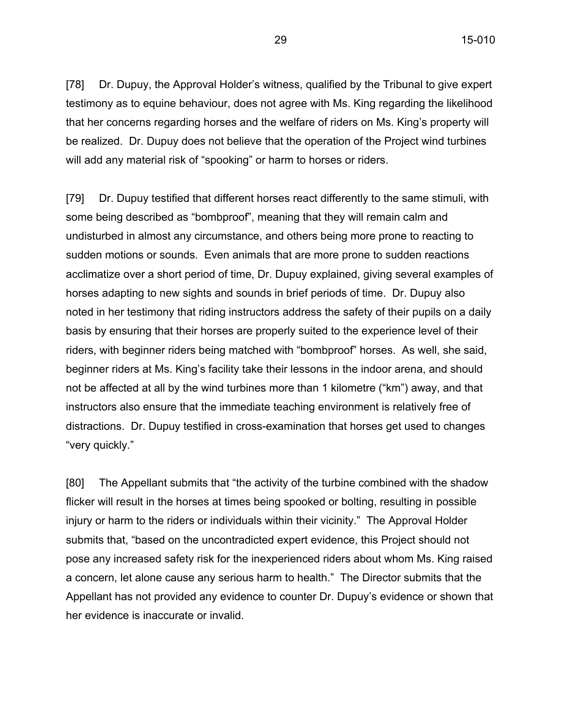[78] Dr. Dupuy, the Approval Holder's witness, qualified by the Tribunal to give expert testimony as to equine behaviour, does not agree with Ms. King regarding the likelihood that her concerns regarding horses and the welfare of riders on Ms. King's property will be realized. Dr. Dupuy does not believe that the operation of the Project wind turbines will add any material risk of "spooking" or harm to horses or riders.

[79] Dr. Dupuy testified that different horses react differently to the same stimuli, with some being described as "bombproof", meaning that they will remain calm and undisturbed in almost any circumstance, and others being more prone to reacting to sudden motions or sounds. Even animals that are more prone to sudden reactions acclimatize over a short period of time, Dr. Dupuy explained, giving several examples of horses adapting to new sights and sounds in brief periods of time. Dr. Dupuy also noted in her testimony that riding instructors address the safety of their pupils on a daily basis by ensuring that their horses are properly suited to the experience level of their riders, with beginner riders being matched with "bombproof" horses. As well, she said, beginner riders at Ms. King's facility take their lessons in the indoor arena, and should not be affected at all by the wind turbines more than 1 kilometre ("km") away, and that instructors also ensure that the immediate teaching environment is relatively free of distractions. Dr. Dupuy testified in cross-examination that horses get used to changes "very quickly."

[80] The Appellant submits that "the activity of the turbine combined with the shadow flicker will result in the horses at times being spooked or bolting, resulting in possible injury or harm to the riders or individuals within their vicinity." The Approval Holder submits that, "based on the uncontradicted expert evidence, this Project should not pose any increased safety risk for the inexperienced riders about whom Ms. King raised a concern, let alone cause any serious harm to health." The Director submits that the Appellant has not provided any evidence to counter Dr. Dupuy's evidence or shown that her evidence is inaccurate or invalid.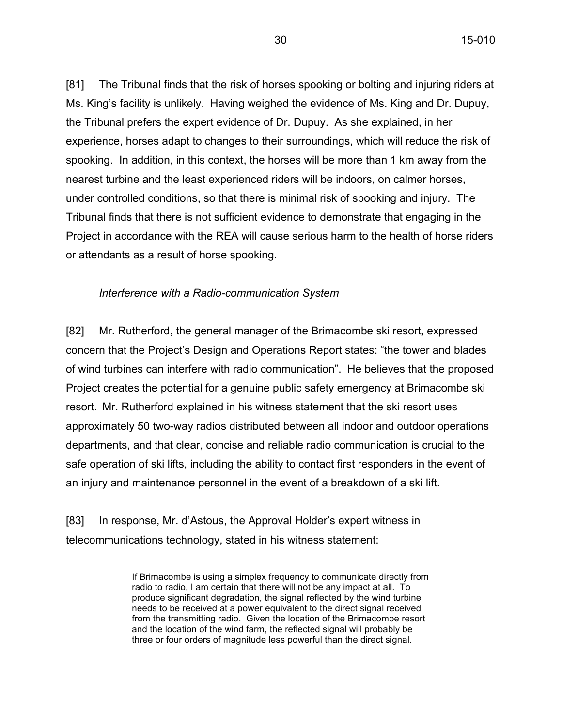[81] The Tribunal finds that the risk of horses spooking or bolting and injuring riders at Ms. King's facility is unlikely. Having weighed the evidence of Ms. King and Dr. Dupuy, the Tribunal prefers the expert evidence of Dr. Dupuy. As she explained, in her experience, horses adapt to changes to their surroundings, which will reduce the risk of spooking. In addition, in this context, the horses will be more than 1 km away from the nearest turbine and the least experienced riders will be indoors, on calmer horses, under controlled conditions, so that there is minimal risk of spooking and injury. The Tribunal finds that there is not sufficient evidence to demonstrate that engaging in the Project in accordance with the REA will cause serious harm to the health of horse riders or attendants as a result of horse spooking.

#### *Interference with a Radio-communication System*

[82] Mr. Rutherford, the general manager of the Brimacombe ski resort, expressed concern that the Project's Design and Operations Report states: "the tower and blades of wind turbines can interfere with radio communication". He believes that the proposed Project creates the potential for a genuine public safety emergency at Brimacombe ski resort. Mr. Rutherford explained in his witness statement that the ski resort uses approximately 50 two-way radios distributed between all indoor and outdoor operations departments, and that clear, concise and reliable radio communication is crucial to the safe operation of ski lifts, including the ability to contact first responders in the event of an injury and maintenance personnel in the event of a breakdown of a ski lift.

[83] In response, Mr. d'Astous, the Approval Holder's expert witness in telecommunications technology, stated in his witness statement:

> If Brimacombe is using a simplex frequency to communicate directly from radio to radio, I am certain that there will not be any impact at all. To produce significant degradation, the signal reflected by the wind turbine needs to be received at a power equivalent to the direct signal received from the transmitting radio. Given the location of the Brimacombe resort and the location of the wind farm, the reflected signal will probably be three or four orders of magnitude less powerful than the direct signal.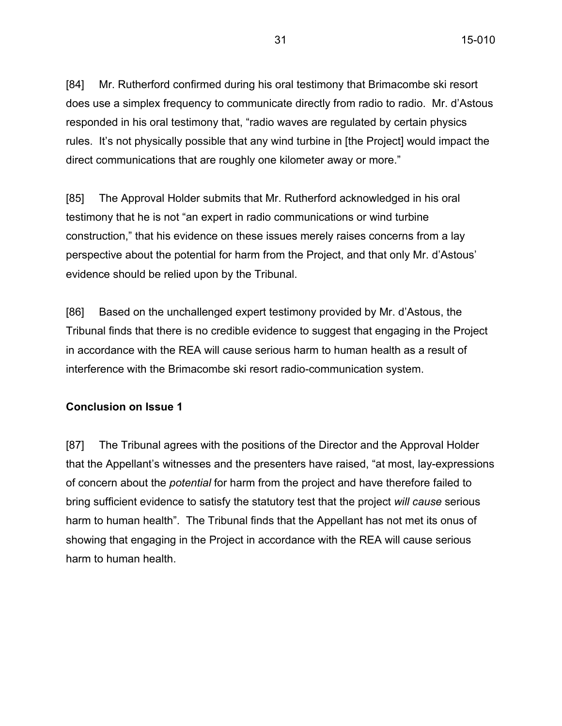[84] Mr. Rutherford confirmed during his oral testimony that Brimacombe ski resort does use a simplex frequency to communicate directly from radio to radio. Mr. d'Astous responded in his oral testimony that, "radio waves are regulated by certain physics rules. It's not physically possible that any wind turbine in [the Project] would impact the direct communications that are roughly one kilometer away or more."

[85] The Approval Holder submits that Mr. Rutherford acknowledged in his oral testimony that he is not "an expert in radio communications or wind turbine construction," that his evidence on these issues merely raises concerns from a lay perspective about the potential for harm from the Project, and that only Mr. d'Astous' evidence should be relied upon by the Tribunal.

[86] Based on the unchallenged expert testimony provided by Mr. d'Astous, the Tribunal finds that there is no credible evidence to suggest that engaging in the Project in accordance with the REA will cause serious harm to human health as a result of interference with the Brimacombe ski resort radio-communication system.

#### **Conclusion on Issue 1**

[87] The Tribunal agrees with the positions of the Director and the Approval Holder that the Appellant's witnesses and the presenters have raised, "at most, lay-expressions of concern about the *potential* for harm from the project and have therefore failed to bring sufficient evidence to satisfy the statutory test that the project *will cause* serious harm to human health". The Tribunal finds that the Appellant has not met its onus of showing that engaging in the Project in accordance with the REA will cause serious harm to human health.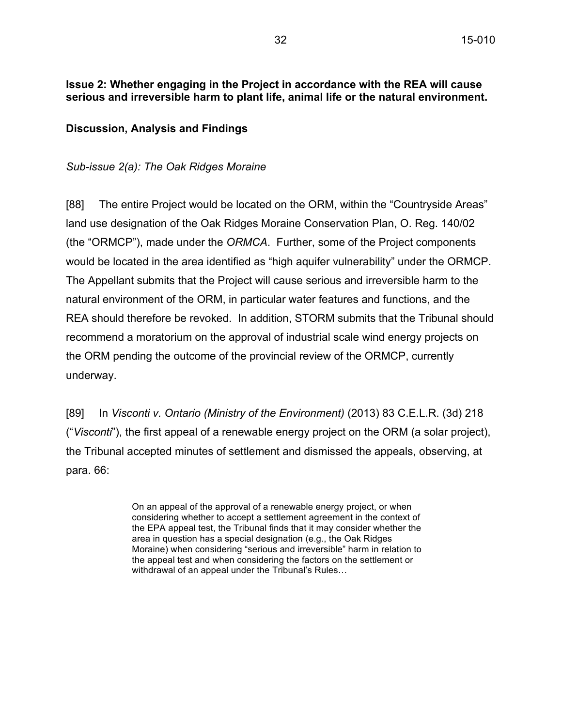# **Issue 2: Whether engaging in the Project in accordance with the REA will cause serious and irreversible harm to plant life, animal life or the natural environment.**

# **Discussion, Analysis and Findings**

### *Sub-issue 2(a): The Oak Ridges Moraine*

[88] The entire Project would be located on the ORM, within the "Countryside Areas" land use designation of the Oak Ridges Moraine Conservation Plan, O. Reg. 140/02 (the "ORMCP"), made under the *ORMCA*. Further, some of the Project components would be located in the area identified as "high aquifer vulnerability" under the ORMCP. The Appellant submits that the Project will cause serious and irreversible harm to the natural environment of the ORM, in particular water features and functions, and the REA should therefore be revoked. In addition, STORM submits that the Tribunal should recommend a moratorium on the approval of industrial scale wind energy projects on the ORM pending the outcome of the provincial review of the ORMCP, currently underway.

[89] In *Visconti v. Ontario (Ministry of the Environment)* (2013) 83 C.E.L.R. (3d) 218 ("*Visconti*"), the first appeal of a renewable energy project on the ORM (a solar project), the Tribunal accepted minutes of settlement and dismissed the appeals, observing, at para. 66:

> On an appeal of the approval of a renewable energy project, or when considering whether to accept a settlement agreement in the context of the EPA appeal test, the Tribunal finds that it may consider whether the area in question has a special designation (e.g., the Oak Ridges Moraine) when considering "serious and irreversible" harm in relation to the appeal test and when considering the factors on the settlement or withdrawal of an appeal under the Tribunal's Rules…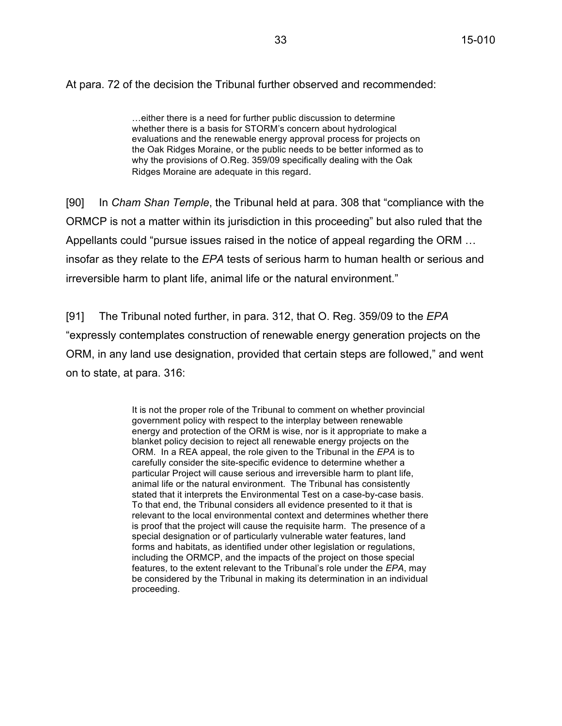At para. 72 of the decision the Tribunal further observed and recommended:

…either there is a need for further public discussion to determine whether there is a basis for STORM's concern about hydrological evaluations and the renewable energy approval process for projects on the Oak Ridges Moraine, or the public needs to be better informed as to why the provisions of O.Reg. 359/09 specifically dealing with the Oak Ridges Moraine are adequate in this regard.

[90] In *Cham Shan Temple*, the Tribunal held at para. 308 that "compliance with the ORMCP is not a matter within its jurisdiction in this proceeding" but also ruled that the Appellants could "pursue issues raised in the notice of appeal regarding the ORM … insofar as they relate to the *EPA* tests of serious harm to human health or serious and irreversible harm to plant life, animal life or the natural environment."

[91] The Tribunal noted further, in para. 312, that O. Reg. 359/09 to the *EPA* "expressly contemplates construction of renewable energy generation projects on the ORM, in any land use designation, provided that certain steps are followed," and went on to state, at para. 316:

> It is not the proper role of the Tribunal to comment on whether provincial government policy with respect to the interplay between renewable energy and protection of the ORM is wise, nor is it appropriate to make a blanket policy decision to reject all renewable energy projects on the ORM. In a REA appeal, the role given to the Tribunal in the *EPA* is to carefully consider the site-specific evidence to determine whether a particular Project will cause serious and irreversible harm to plant life, animal life or the natural environment. The Tribunal has consistently stated that it interprets the Environmental Test on a case-by-case basis. To that end, the Tribunal considers all evidence presented to it that is relevant to the local environmental context and determines whether there is proof that the project will cause the requisite harm. The presence of a special designation or of particularly vulnerable water features, land forms and habitats, as identified under other legislation or regulations, including the ORMCP, and the impacts of the project on those special features, to the extent relevant to the Tribunal's role under the *EPA*, may be considered by the Tribunal in making its determination in an individual proceeding.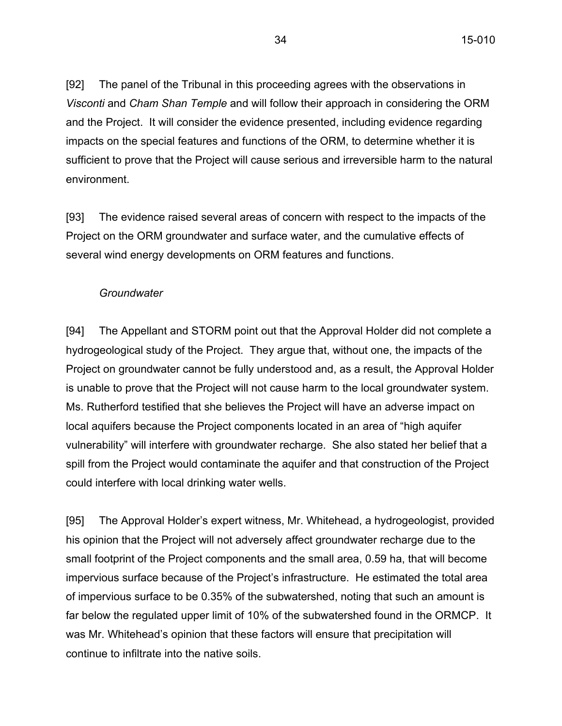[92] The panel of the Tribunal in this proceeding agrees with the observations in *Visconti* and *Cham Shan Temple* and will follow their approach in considering the ORM and the Project. It will consider the evidence presented, including evidence regarding impacts on the special features and functions of the ORM, to determine whether it is sufficient to prove that the Project will cause serious and irreversible harm to the natural environment.

[93] The evidence raised several areas of concern with respect to the impacts of the Project on the ORM groundwater and surface water, and the cumulative effects of several wind energy developments on ORM features and functions.

#### *Groundwater*

[94] The Appellant and STORM point out that the Approval Holder did not complete a hydrogeological study of the Project. They argue that, without one, the impacts of the Project on groundwater cannot be fully understood and, as a result, the Approval Holder is unable to prove that the Project will not cause harm to the local groundwater system. Ms. Rutherford testified that she believes the Project will have an adverse impact on local aquifers because the Project components located in an area of "high aquifer vulnerability" will interfere with groundwater recharge. She also stated her belief that a spill from the Project would contaminate the aquifer and that construction of the Project could interfere with local drinking water wells.

[95] The Approval Holder's expert witness, Mr. Whitehead, a hydrogeologist, provided his opinion that the Project will not adversely affect groundwater recharge due to the small footprint of the Project components and the small area, 0.59 ha, that will become impervious surface because of the Project's infrastructure. He estimated the total area of impervious surface to be 0.35% of the subwatershed, noting that such an amount is far below the regulated upper limit of 10% of the subwatershed found in the ORMCP. It was Mr. Whitehead's opinion that these factors will ensure that precipitation will continue to infiltrate into the native soils.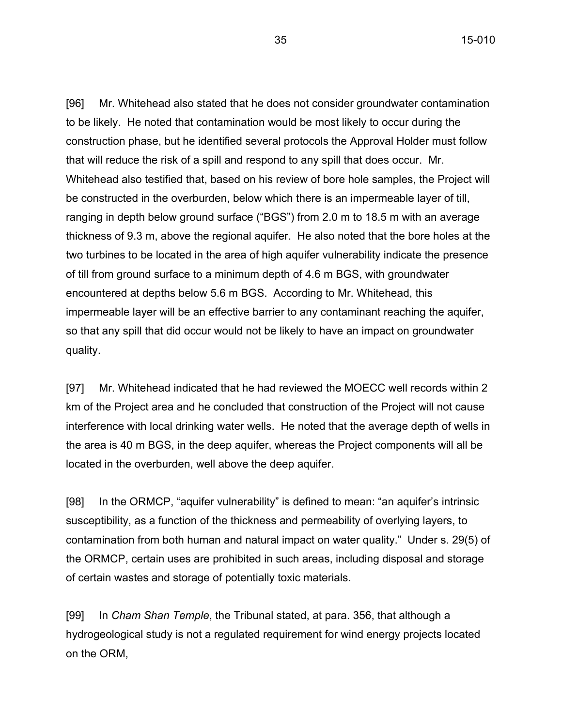35 15-010

[96] Mr. Whitehead also stated that he does not consider groundwater contamination to be likely. He noted that contamination would be most likely to occur during the construction phase, but he identified several protocols the Approval Holder must follow that will reduce the risk of a spill and respond to any spill that does occur. Mr. Whitehead also testified that, based on his review of bore hole samples, the Project will be constructed in the overburden, below which there is an impermeable layer of till, ranging in depth below ground surface ("BGS") from 2.0 m to 18.5 m with an average thickness of 9.3 m, above the regional aquifer. He also noted that the bore holes at the two turbines to be located in the area of high aquifer vulnerability indicate the presence of till from ground surface to a minimum depth of 4.6 m BGS, with groundwater encountered at depths below 5.6 m BGS. According to Mr. Whitehead, this impermeable layer will be an effective barrier to any contaminant reaching the aquifer, so that any spill that did occur would not be likely to have an impact on groundwater quality.

[97] Mr. Whitehead indicated that he had reviewed the MOECC well records within 2 km of the Project area and he concluded that construction of the Project will not cause interference with local drinking water wells. He noted that the average depth of wells in the area is 40 m BGS, in the deep aquifer, whereas the Project components will all be located in the overburden, well above the deep aquifer.

[98] In the ORMCP, "aquifer vulnerability" is defined to mean: "an aquifer's intrinsic susceptibility, as a function of the thickness and permeability of overlying layers, to contamination from both human and natural impact on water quality." Under s. 29(5) of the ORMCP, certain uses are prohibited in such areas, including disposal and storage of certain wastes and storage of potentially toxic materials.

[99] In *Cham Shan Temple*, the Tribunal stated, at para. 356, that although a hydrogeological study is not a regulated requirement for wind energy projects located on the ORM,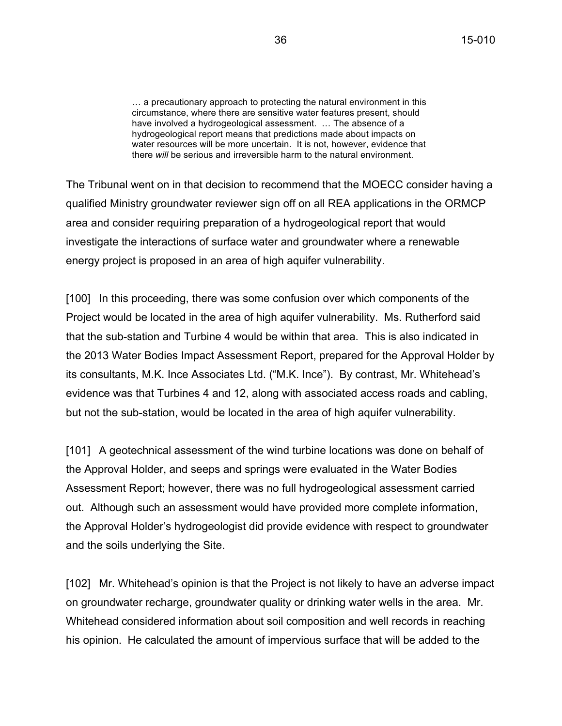… a precautionary approach to protecting the natural environment in this circumstance, where there are sensitive water features present, should have involved a hydrogeological assessment. … The absence of a hydrogeological report means that predictions made about impacts on water resources will be more uncertain. It is not, however, evidence that there *will* be serious and irreversible harm to the natural environment.

The Tribunal went on in that decision to recommend that the MOECC consider having a qualified Ministry groundwater reviewer sign off on all REA applications in the ORMCP area and consider requiring preparation of a hydrogeological report that would investigate the interactions of surface water and groundwater where a renewable energy project is proposed in an area of high aquifer vulnerability.

[100] In this proceeding, there was some confusion over which components of the Project would be located in the area of high aquifer vulnerability. Ms. Rutherford said that the sub-station and Turbine 4 would be within that area. This is also indicated in the 2013 Water Bodies Impact Assessment Report, prepared for the Approval Holder by its consultants, M.K. Ince Associates Ltd. ("M.K. Ince"). By contrast, Mr. Whitehead's evidence was that Turbines 4 and 12, along with associated access roads and cabling, but not the sub-station, would be located in the area of high aquifer vulnerability.

[101] A geotechnical assessment of the wind turbine locations was done on behalf of the Approval Holder, and seeps and springs were evaluated in the Water Bodies Assessment Report; however, there was no full hydrogeological assessment carried out. Although such an assessment would have provided more complete information, the Approval Holder's hydrogeologist did provide evidence with respect to groundwater and the soils underlying the Site.

[102] Mr. Whitehead's opinion is that the Project is not likely to have an adverse impact on groundwater recharge, groundwater quality or drinking water wells in the area. Mr. Whitehead considered information about soil composition and well records in reaching his opinion. He calculated the amount of impervious surface that will be added to the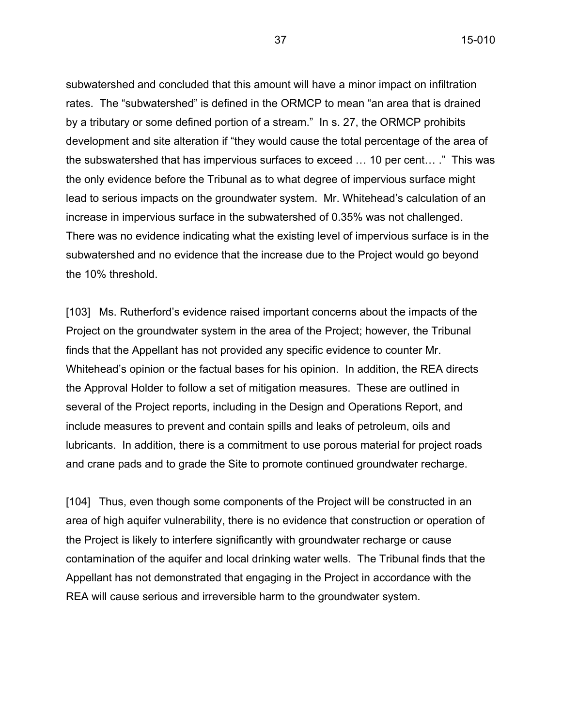37 15-010

subwatershed and concluded that this amount will have a minor impact on infiltration rates. The "subwatershed" is defined in the ORMCP to mean "an area that is drained by a tributary or some defined portion of a stream." In s. 27, the ORMCP prohibits development and site alteration if "they would cause the total percentage of the area of the subswatershed that has impervious surfaces to exceed … 10 per cent… ." This was the only evidence before the Tribunal as to what degree of impervious surface might lead to serious impacts on the groundwater system. Mr. Whitehead's calculation of an increase in impervious surface in the subwatershed of 0.35% was not challenged. There was no evidence indicating what the existing level of impervious surface is in the subwatershed and no evidence that the increase due to the Project would go beyond the 10% threshold.

[103] Ms. Rutherford's evidence raised important concerns about the impacts of the Project on the groundwater system in the area of the Project; however, the Tribunal finds that the Appellant has not provided any specific evidence to counter Mr. Whitehead's opinion or the factual bases for his opinion. In addition, the REA directs the Approval Holder to follow a set of mitigation measures. These are outlined in several of the Project reports, including in the Design and Operations Report, and include measures to prevent and contain spills and leaks of petroleum, oils and lubricants. In addition, there is a commitment to use porous material for project roads and crane pads and to grade the Site to promote continued groundwater recharge.

[104] Thus, even though some components of the Project will be constructed in an area of high aquifer vulnerability, there is no evidence that construction or operation of the Project is likely to interfere significantly with groundwater recharge or cause contamination of the aquifer and local drinking water wells. The Tribunal finds that the Appellant has not demonstrated that engaging in the Project in accordance with the REA will cause serious and irreversible harm to the groundwater system.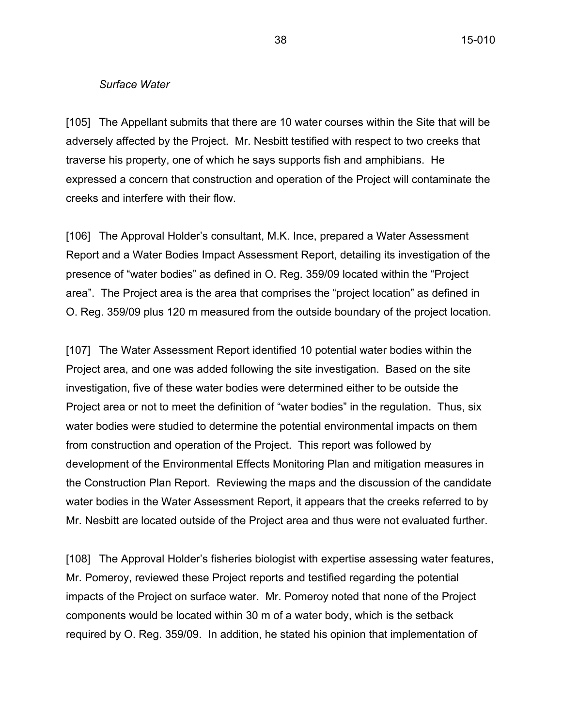#### *Surface Water*

[105] The Appellant submits that there are 10 water courses within the Site that will be adversely affected by the Project. Mr. Nesbitt testified with respect to two creeks that traverse his property, one of which he says supports fish and amphibians. He expressed a concern that construction and operation of the Project will contaminate the creeks and interfere with their flow.

[106] The Approval Holder's consultant, M.K. Ince, prepared a Water Assessment Report and a Water Bodies Impact Assessment Report, detailing its investigation of the presence of "water bodies" as defined in O. Reg. 359/09 located within the "Project area". The Project area is the area that comprises the "project location" as defined in O. Reg. 359/09 plus 120 m measured from the outside boundary of the project location.

[107] The Water Assessment Report identified 10 potential water bodies within the Project area, and one was added following the site investigation. Based on the site investigation, five of these water bodies were determined either to be outside the Project area or not to meet the definition of "water bodies" in the regulation. Thus, six water bodies were studied to determine the potential environmental impacts on them from construction and operation of the Project. This report was followed by development of the Environmental Effects Monitoring Plan and mitigation measures in the Construction Plan Report. Reviewing the maps and the discussion of the candidate water bodies in the Water Assessment Report, it appears that the creeks referred to by Mr. Nesbitt are located outside of the Project area and thus were not evaluated further.

[108] The Approval Holder's fisheries biologist with expertise assessing water features, Mr. Pomeroy, reviewed these Project reports and testified regarding the potential impacts of the Project on surface water. Mr. Pomeroy noted that none of the Project components would be located within 30 m of a water body, which is the setback required by O. Reg. 359/09. In addition, he stated his opinion that implementation of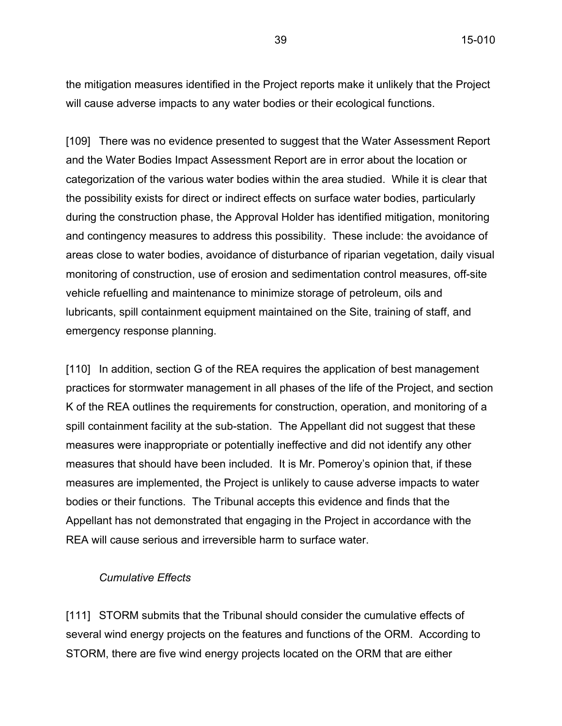the mitigation measures identified in the Project reports make it unlikely that the Project will cause adverse impacts to any water bodies or their ecological functions.

[109] There was no evidence presented to suggest that the Water Assessment Report and the Water Bodies Impact Assessment Report are in error about the location or categorization of the various water bodies within the area studied. While it is clear that the possibility exists for direct or indirect effects on surface water bodies, particularly during the construction phase, the Approval Holder has identified mitigation, monitoring and contingency measures to address this possibility. These include: the avoidance of areas close to water bodies, avoidance of disturbance of riparian vegetation, daily visual monitoring of construction, use of erosion and sedimentation control measures, off-site vehicle refuelling and maintenance to minimize storage of petroleum, oils and lubricants, spill containment equipment maintained on the Site, training of staff, and emergency response planning.

[110] In addition, section G of the REA requires the application of best management practices for stormwater management in all phases of the life of the Project, and section K of the REA outlines the requirements for construction, operation, and monitoring of a spill containment facility at the sub-station. The Appellant did not suggest that these measures were inappropriate or potentially ineffective and did not identify any other measures that should have been included. It is Mr. Pomeroy's opinion that, if these measures are implemented, the Project is unlikely to cause adverse impacts to water bodies or their functions. The Tribunal accepts this evidence and finds that the Appellant has not demonstrated that engaging in the Project in accordance with the REA will cause serious and irreversible harm to surface water.

#### *Cumulative Effects*

[111] STORM submits that the Tribunal should consider the cumulative effects of several wind energy projects on the features and functions of the ORM. According to STORM, there are five wind energy projects located on the ORM that are either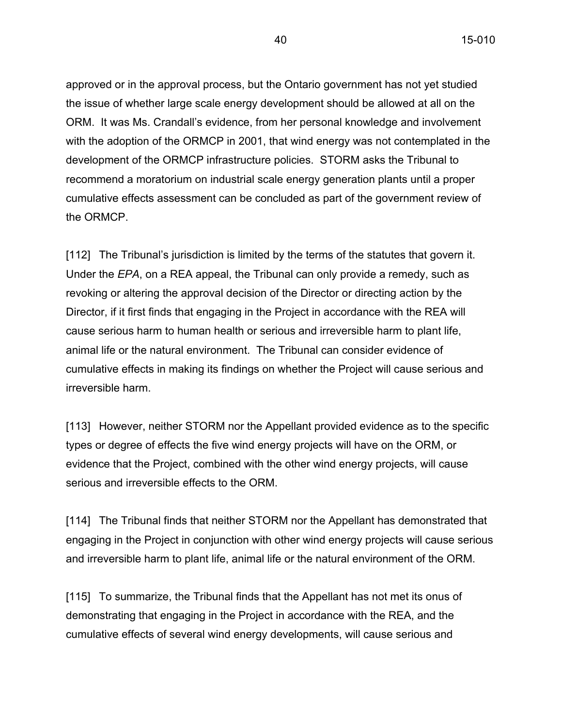approved or in the approval process, but the Ontario government has not yet studied the issue of whether large scale energy development should be allowed at all on the ORM. It was Ms. Crandall's evidence, from her personal knowledge and involvement with the adoption of the ORMCP in 2001, that wind energy was not contemplated in the development of the ORMCP infrastructure policies. STORM asks the Tribunal to recommend a moratorium on industrial scale energy generation plants until a proper cumulative effects assessment can be concluded as part of the government review of the ORMCP.

[112] The Tribunal's jurisdiction is limited by the terms of the statutes that govern it. Under the *EPA*, on a REA appeal, the Tribunal can only provide a remedy, such as revoking or altering the approval decision of the Director or directing action by the Director, if it first finds that engaging in the Project in accordance with the REA will cause serious harm to human health or serious and irreversible harm to plant life, animal life or the natural environment. The Tribunal can consider evidence of cumulative effects in making its findings on whether the Project will cause serious and irreversible harm.

[113] However, neither STORM nor the Appellant provided evidence as to the specific types or degree of effects the five wind energy projects will have on the ORM, or evidence that the Project, combined with the other wind energy projects, will cause serious and irreversible effects to the ORM.

[114] The Tribunal finds that neither STORM nor the Appellant has demonstrated that engaging in the Project in conjunction with other wind energy projects will cause serious and irreversible harm to plant life, animal life or the natural environment of the ORM.

[115] To summarize, the Tribunal finds that the Appellant has not met its onus of demonstrating that engaging in the Project in accordance with the REA, and the cumulative effects of several wind energy developments, will cause serious and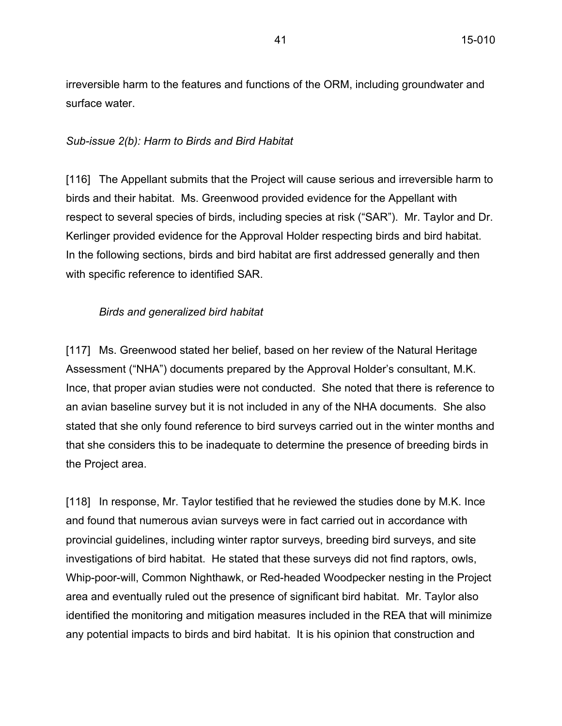irreversible harm to the features and functions of the ORM, including groundwater and surface water.

### *Sub-issue 2(b): Harm to Birds and Bird Habitat*

[116] The Appellant submits that the Project will cause serious and irreversible harm to birds and their habitat. Ms. Greenwood provided evidence for the Appellant with respect to several species of birds, including species at risk ("SAR"). Mr. Taylor and Dr. Kerlinger provided evidence for the Approval Holder respecting birds and bird habitat. In the following sections, birds and bird habitat are first addressed generally and then with specific reference to identified SAR.

### *Birds and generalized bird habitat*

[117] Ms. Greenwood stated her belief, based on her review of the Natural Heritage Assessment ("NHA") documents prepared by the Approval Holder's consultant, M.K. Ince, that proper avian studies were not conducted. She noted that there is reference to an avian baseline survey but it is not included in any of the NHA documents. She also stated that she only found reference to bird surveys carried out in the winter months and that she considers this to be inadequate to determine the presence of breeding birds in the Project area.

[118] In response, Mr. Taylor testified that he reviewed the studies done by M.K. Ince and found that numerous avian surveys were in fact carried out in accordance with provincial guidelines, including winter raptor surveys, breeding bird surveys, and site investigations of bird habitat. He stated that these surveys did not find raptors, owls, Whip-poor-will, Common Nighthawk, or Red-headed Woodpecker nesting in the Project area and eventually ruled out the presence of significant bird habitat. Mr. Taylor also identified the monitoring and mitigation measures included in the REA that will minimize any potential impacts to birds and bird habitat. It is his opinion that construction and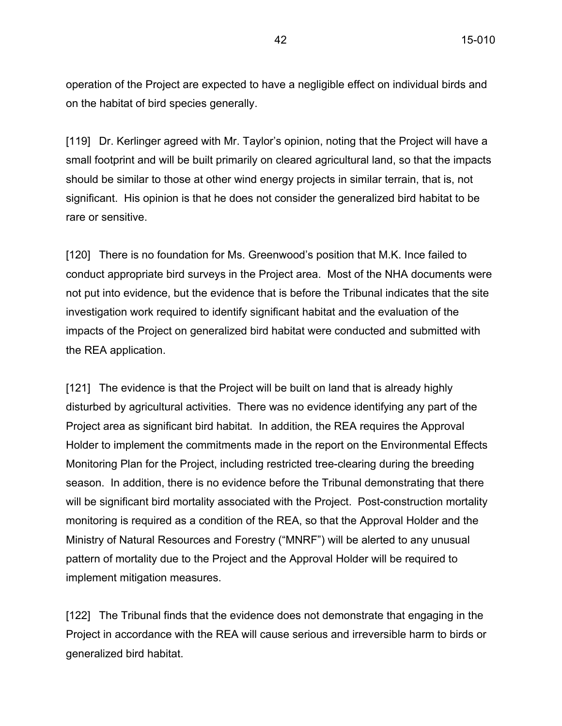operation of the Project are expected to have a negligible effect on individual birds and on the habitat of bird species generally.

[119] Dr. Kerlinger agreed with Mr. Taylor's opinion, noting that the Project will have a small footprint and will be built primarily on cleared agricultural land, so that the impacts should be similar to those at other wind energy projects in similar terrain, that is, not significant. His opinion is that he does not consider the generalized bird habitat to be rare or sensitive.

[120] There is no foundation for Ms. Greenwood's position that M.K. Ince failed to conduct appropriate bird surveys in the Project area. Most of the NHA documents were not put into evidence, but the evidence that is before the Tribunal indicates that the site investigation work required to identify significant habitat and the evaluation of the impacts of the Project on generalized bird habitat were conducted and submitted with the REA application.

[121] The evidence is that the Project will be built on land that is already highly disturbed by agricultural activities. There was no evidence identifying any part of the Project area as significant bird habitat. In addition, the REA requires the Approval Holder to implement the commitments made in the report on the Environmental Effects Monitoring Plan for the Project, including restricted tree-clearing during the breeding season. In addition, there is no evidence before the Tribunal demonstrating that there will be significant bird mortality associated with the Project. Post-construction mortality monitoring is required as a condition of the REA, so that the Approval Holder and the Ministry of Natural Resources and Forestry ("MNRF") will be alerted to any unusual pattern of mortality due to the Project and the Approval Holder will be required to implement mitigation measures.

[122] The Tribunal finds that the evidence does not demonstrate that engaging in the Project in accordance with the REA will cause serious and irreversible harm to birds or generalized bird habitat.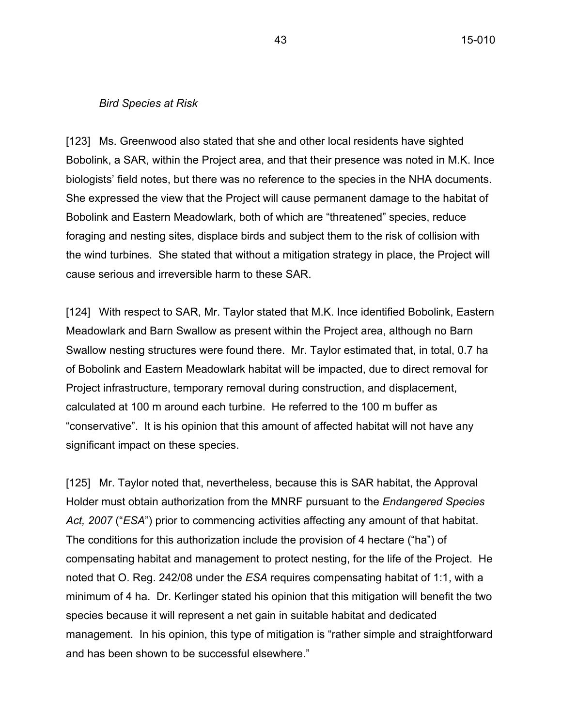#### *Bird Species at Risk*

[123] Ms. Greenwood also stated that she and other local residents have sighted Bobolink, a SAR, within the Project area, and that their presence was noted in M.K. Ince biologists' field notes, but there was no reference to the species in the NHA documents. She expressed the view that the Project will cause permanent damage to the habitat of Bobolink and Eastern Meadowlark, both of which are "threatened" species, reduce foraging and nesting sites, displace birds and subject them to the risk of collision with the wind turbines. She stated that without a mitigation strategy in place, the Project will cause serious and irreversible harm to these SAR.

[124] With respect to SAR, Mr. Taylor stated that M.K. Ince identified Bobolink, Eastern Meadowlark and Barn Swallow as present within the Project area, although no Barn Swallow nesting structures were found there. Mr. Taylor estimated that, in total, 0.7 ha of Bobolink and Eastern Meadowlark habitat will be impacted, due to direct removal for Project infrastructure, temporary removal during construction, and displacement, calculated at 100 m around each turbine. He referred to the 100 m buffer as "conservative". It is his opinion that this amount of affected habitat will not have any significant impact on these species.

[125] Mr. Taylor noted that, nevertheless, because this is SAR habitat, the Approval Holder must obtain authorization from the MNRF pursuant to the *Endangered Species Act, 2007* ("*ESA*") prior to commencing activities affecting any amount of that habitat. The conditions for this authorization include the provision of 4 hectare ("ha") of compensating habitat and management to protect nesting, for the life of the Project. He noted that O. Reg. 242/08 under the *ESA* requires compensating habitat of 1:1, with a minimum of 4 ha. Dr. Kerlinger stated his opinion that this mitigation will benefit the two species because it will represent a net gain in suitable habitat and dedicated management. In his opinion, this type of mitigation is "rather simple and straightforward and has been shown to be successful elsewhere."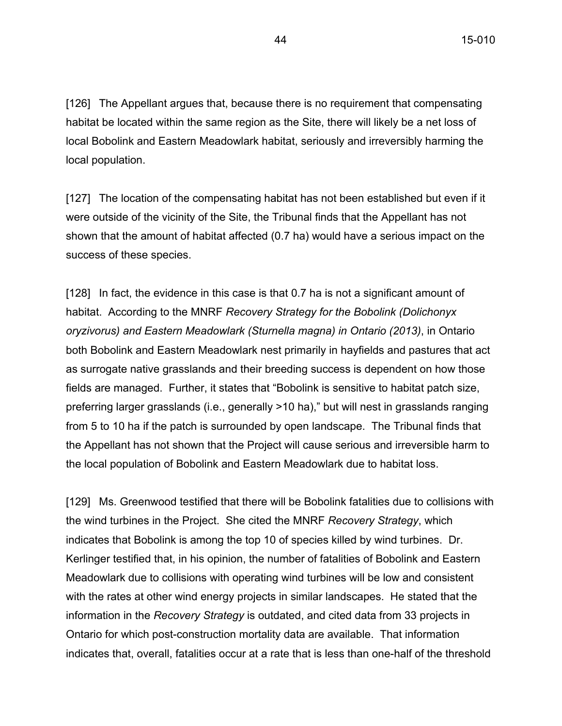[126] The Appellant argues that, because there is no requirement that compensating habitat be located within the same region as the Site, there will likely be a net loss of local Bobolink and Eastern Meadowlark habitat, seriously and irreversibly harming the local population.

[127] The location of the compensating habitat has not been established but even if it were outside of the vicinity of the Site, the Tribunal finds that the Appellant has not shown that the amount of habitat affected (0.7 ha) would have a serious impact on the success of these species.

[128] In fact, the evidence in this case is that 0.7 ha is not a significant amount of habitat. According to the MNRF *Recovery Strategy for the Bobolink (Dolichonyx oryzivorus) and Eastern Meadowlark (Sturnella magna) in Ontario (2013)*, in Ontario both Bobolink and Eastern Meadowlark nest primarily in hayfields and pastures that act as surrogate native grasslands and their breeding success is dependent on how those fields are managed. Further, it states that "Bobolink is sensitive to habitat patch size, preferring larger grasslands (i.e., generally >10 ha)," but will nest in grasslands ranging from 5 to 10 ha if the patch is surrounded by open landscape. The Tribunal finds that the Appellant has not shown that the Project will cause serious and irreversible harm to the local population of Bobolink and Eastern Meadowlark due to habitat loss.

[129] Ms. Greenwood testified that there will be Bobolink fatalities due to collisions with the wind turbines in the Project. She cited the MNRF *Recovery Strategy*, which indicates that Bobolink is among the top 10 of species killed by wind turbines. Dr. Kerlinger testified that, in his opinion, the number of fatalities of Bobolink and Eastern Meadowlark due to collisions with operating wind turbines will be low and consistent with the rates at other wind energy projects in similar landscapes. He stated that the information in the *Recovery Strategy* is outdated, and cited data from 33 projects in Ontario for which post-construction mortality data are available. That information indicates that, overall, fatalities occur at a rate that is less than one-half of the threshold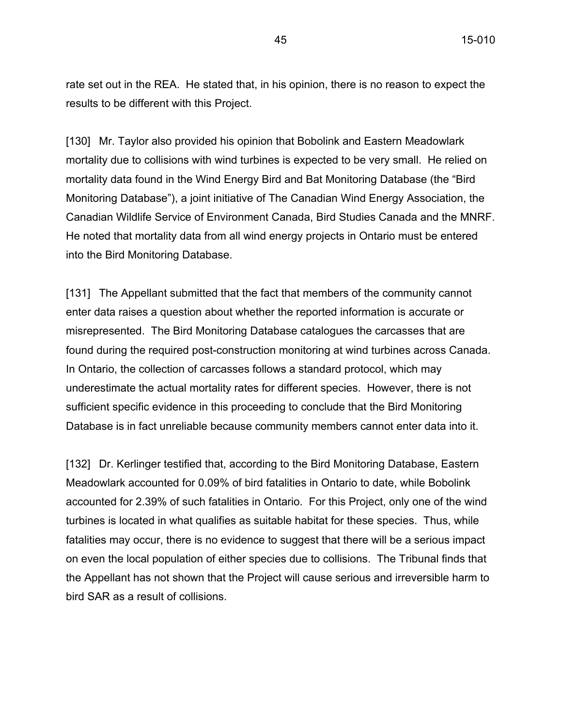rate set out in the REA. He stated that, in his opinion, there is no reason to expect the results to be different with this Project.

[130] Mr. Taylor also provided his opinion that Bobolink and Eastern Meadowlark mortality due to collisions with wind turbines is expected to be very small. He relied on mortality data found in the Wind Energy Bird and Bat Monitoring Database (the "Bird Monitoring Database"), a joint initiative of The Canadian Wind Energy Association, the Canadian Wildlife Service of Environment Canada, Bird Studies Canada and the MNRF. He noted that mortality data from all wind energy projects in Ontario must be entered into the Bird Monitoring Database.

[131] The Appellant submitted that the fact that members of the community cannot enter data raises a question about whether the reported information is accurate or misrepresented. The Bird Monitoring Database catalogues the carcasses that are found during the required post-construction monitoring at wind turbines across Canada. In Ontario, the collection of carcasses follows a standard protocol, which may underestimate the actual mortality rates for different species. However, there is not sufficient specific evidence in this proceeding to conclude that the Bird Monitoring Database is in fact unreliable because community members cannot enter data into it.

[132] Dr. Kerlinger testified that, according to the Bird Monitoring Database, Eastern Meadowlark accounted for 0.09% of bird fatalities in Ontario to date, while Bobolink accounted for 2.39% of such fatalities in Ontario. For this Project, only one of the wind turbines is located in what qualifies as suitable habitat for these species. Thus, while fatalities may occur, there is no evidence to suggest that there will be a serious impact on even the local population of either species due to collisions. The Tribunal finds that the Appellant has not shown that the Project will cause serious and irreversible harm to bird SAR as a result of collisions.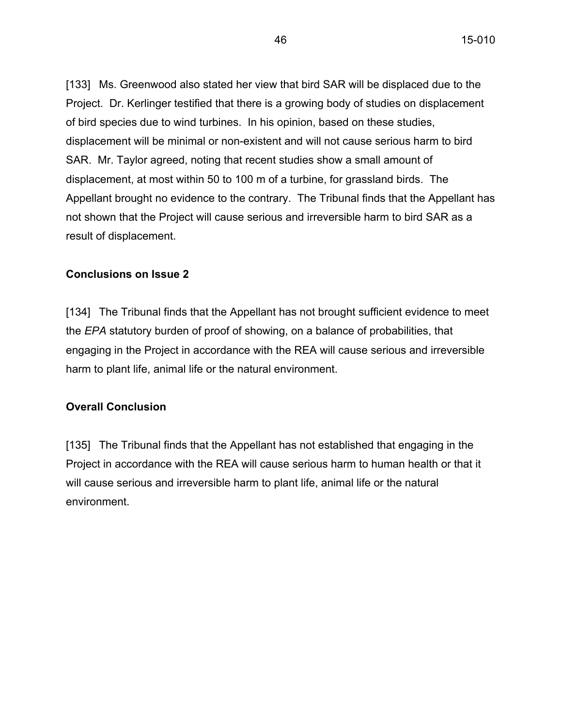[133] Ms. Greenwood also stated her view that bird SAR will be displaced due to the Project. Dr. Kerlinger testified that there is a growing body of studies on displacement of bird species due to wind turbines. In his opinion, based on these studies, displacement will be minimal or non-existent and will not cause serious harm to bird SAR. Mr. Taylor agreed, noting that recent studies show a small amount of displacement, at most within 50 to 100 m of a turbine, for grassland birds. The Appellant brought no evidence to the contrary. The Tribunal finds that the Appellant has not shown that the Project will cause serious and irreversible harm to bird SAR as a result of displacement.

### **Conclusions on Issue 2**

[134] The Tribunal finds that the Appellant has not brought sufficient evidence to meet the *EPA* statutory burden of proof of showing, on a balance of probabilities, that engaging in the Project in accordance with the REA will cause serious and irreversible harm to plant life, animal life or the natural environment.

# **Overall Conclusion**

[135] The Tribunal finds that the Appellant has not established that engaging in the Project in accordance with the REA will cause serious harm to human health or that it will cause serious and irreversible harm to plant life, animal life or the natural environment.